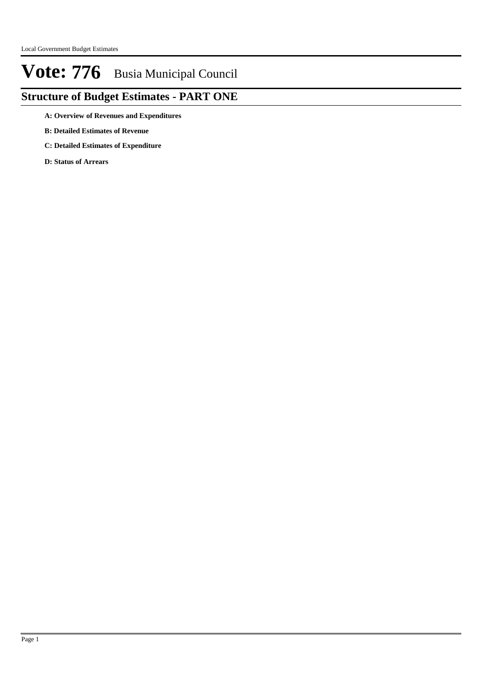## **Structure of Budget Estimates - PART ONE**

**A: Overview of Revenues and Expenditures**

- **B: Detailed Estimates of Revenue**
- **C: Detailed Estimates of Expenditure**

**D: Status of Arrears**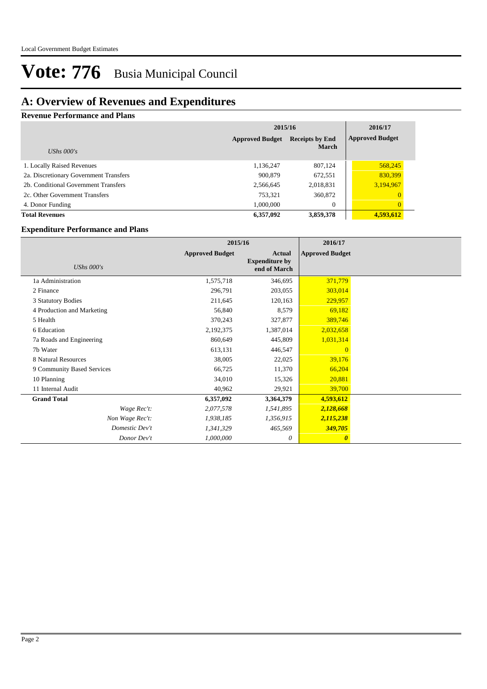## **A: Overview of Revenues and Expenditures**

#### **Revenue Performance and Plans**

|                                        | 2015/16                | 2016/17                                |                        |
|----------------------------------------|------------------------|----------------------------------------|------------------------|
| UShs $000's$                           | <b>Approved Budget</b> | <b>Receipts by End</b><br><b>March</b> | <b>Approved Budget</b> |
| 1. Locally Raised Revenues             | 1,136,247              | 807,124                                | 568,245                |
| 2a. Discretionary Government Transfers | 900,879                | 672,551                                | 830,399                |
| 2b. Conditional Government Transfers   | 2,566,645              | 2,018,831                              | 3,194,967              |
| 2c. Other Government Transfers         | 753,321                | 360,872                                |                        |
| 4. Donor Funding                       | 1.000.000              | $\mathbf{0}$                           | $\overline{0}$         |
| <b>Total Revenues</b>                  | 6,357,092              | 3,859,378                              | 4,593,612              |

#### **Expenditure Performance and Plans**

|                            | 2015/16                |                                                 | 2016/17                |  |
|----------------------------|------------------------|-------------------------------------------------|------------------------|--|
| UShs $000's$               | <b>Approved Budget</b> | Actual<br><b>Expenditure by</b><br>end of March | <b>Approved Budget</b> |  |
| 1a Administration          | 1,575,718              | 346,695                                         | 371,779                |  |
| 2 Finance                  | 296,791                | 203,055                                         | 303,014                |  |
| 3 Statutory Bodies         | 211,645                | 120,163                                         | 229,957                |  |
| 4 Production and Marketing | 56,840                 | 8,579                                           | 69,182                 |  |
| 5 Health                   | 370,243                | 327,877                                         | 389,746                |  |
| 6 Education                | 2,192,375              | 1,387,014                                       | 2,032,658              |  |
| 7a Roads and Engineering   | 860,649                | 445,809                                         | 1,031,314              |  |
| 7b Water                   | 613,131                | 446,547                                         | $\overline{0}$         |  |
| 8 Natural Resources        | 38,005                 | 22,025                                          | 39,176                 |  |
| 9 Community Based Services | 66,725                 | 11,370                                          | 66,204                 |  |
| 10 Planning                | 34,010                 | 15,326                                          | 20,881                 |  |
| 11 Internal Audit          | 40,962                 | 29,921                                          | 39,700                 |  |
| <b>Grand Total</b>         | 6,357,092              | 3,364,379                                       | 4,593,612              |  |
| Wage Rec't:                | 2,077,578              | 1,541,895                                       | 2,128,668              |  |
| Non Wage Rec't:            | 1,938,185              | 1,356,915                                       | 2,115,238              |  |
| Domestic Dev't             | 1,341,329              | 465,569                                         | 349,705                |  |
| Donor Dev't                | 1,000,000              | 0                                               | $\boldsymbol{\theta}$  |  |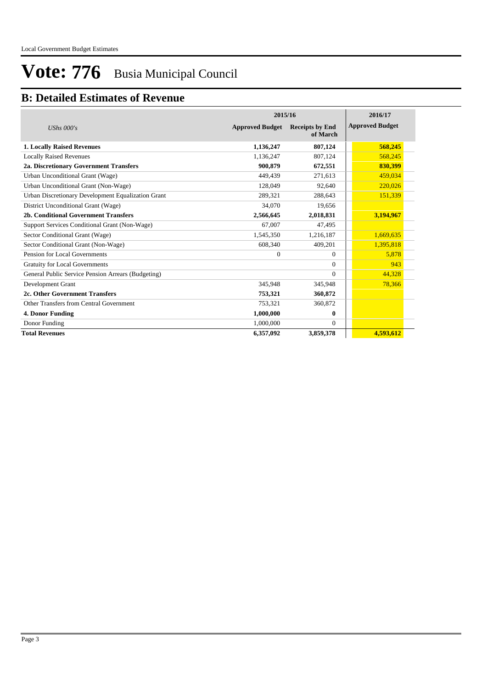## **B: Detailed Estimates of Revenue**

|                                                    | 2015/16                | 2016/17                            |                        |
|----------------------------------------------------|------------------------|------------------------------------|------------------------|
| UShs $000's$                                       | <b>Approved Budget</b> | <b>Receipts by End</b><br>of March | <b>Approved Budget</b> |
| <b>1. Locally Raised Revenues</b>                  | 1,136,247              | 807,124                            | 568,245                |
| <b>Locally Raised Revenues</b>                     | 1,136,247              | 807,124                            | 568,245                |
| 2a. Discretionary Government Transfers             | 900.879                | 672,551                            | 830,399                |
| Urban Unconditional Grant (Wage)                   | 449.439                | 271,613                            | 459,034                |
| Urban Unconditional Grant (Non-Wage)               | 128,049                | 92,640                             | 220,026                |
| Urban Discretionary Development Equalization Grant | 289,321                | 288,643                            | 151,339                |
| District Unconditional Grant (Wage)                | 34,070                 | 19.656                             |                        |
| 2b. Conditional Government Transfers               | 2,566,645              | 2,018,831                          | 3,194,967              |
| Support Services Conditional Grant (Non-Wage)      | 67,007                 | 47.495                             |                        |
| Sector Conditional Grant (Wage)                    | 1,545,350              | 1,216,187                          | 1,669,635              |
| Sector Conditional Grant (Non-Wage)                | 608,340                | 409,201                            | 1,395,818              |
| Pension for Local Governments                      | $\theta$               | $\Omega$                           | 5.878                  |
| <b>Gratuity for Local Governments</b>              |                        | $\Omega$                           | 943                    |
| General Public Service Pension Arrears (Budgeting) |                        | $\Omega$                           | 44,328                 |
| Development Grant                                  | 345,948                | 345,948                            | 78,366                 |
| 2c. Other Government Transfers                     | 753,321                | 360,872                            |                        |
| Other Transfers from Central Government            | 753,321                | 360,872                            |                        |
| 4. Donor Funding                                   | 1,000,000              | 0                                  |                        |
| Donor Funding                                      | 1,000,000              | $\Omega$                           |                        |
| <b>Total Revenues</b>                              | 6,357,092              | 3,859,378                          | 4,593,612              |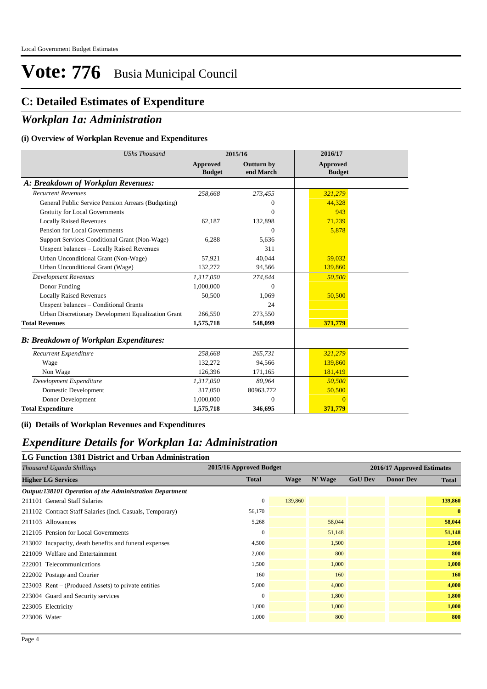### **C: Detailed Estimates of Expenditure**

### *Workplan 1a: Administration*

#### **(i) Overview of Workplan Revenue and Expenditures**

| <b>UShs Thousand</b>                               |                           | 2015/16                        | 2016/17                          |  |
|----------------------------------------------------|---------------------------|--------------------------------|----------------------------------|--|
|                                                    | Approved<br><b>Budget</b> | <b>Outturn by</b><br>end March | <b>Approved</b><br><b>Budget</b> |  |
| A: Breakdown of Workplan Revenues:                 |                           |                                |                                  |  |
| <b>Recurrent Revenues</b>                          | 258,668                   | 273,455                        | 321,279                          |  |
| General Public Service Pension Arrears (Budgeting) |                           | 0                              | 44.328                           |  |
| <b>Gratuity for Local Governments</b>              |                           | $\theta$                       | 943                              |  |
| <b>Locally Raised Revenues</b>                     | 62,187                    | 132,898                        | 71,239                           |  |
| Pension for Local Governments                      |                           | $\Omega$                       | 5,878                            |  |
| Support Services Conditional Grant (Non-Wage)      | 6,288                     | 5,636                          |                                  |  |
| Unspent balances - Locally Raised Revenues         |                           | 311                            |                                  |  |
| Urban Unconditional Grant (Non-Wage)               | 57.921                    | 40.044                         | 59.032                           |  |
| Urban Unconditional Grant (Wage)                   | 132,272                   | 94,566                         | 139,860                          |  |
| <b>Development Revenues</b>                        | 1,317,050                 | 274,644                        | 50,500                           |  |
| Donor Funding                                      | 1,000,000                 | 0                              |                                  |  |
| <b>Locally Raised Revenues</b>                     | 50,500                    | 1,069                          | 50,500                           |  |
| Unspent balances - Conditional Grants              |                           | 24                             |                                  |  |
| Urban Discretionary Development Equalization Grant | 266,550                   | 273,550                        |                                  |  |
| <b>Total Revenues</b>                              | 1,575,718                 | 548,099                        | 371,779                          |  |
| <b>B: Breakdown of Workplan Expenditures:</b>      |                           |                                |                                  |  |
| Recurrent Expenditure                              | 258,668                   | 265,731                        | 321,279                          |  |
| Wage                                               | 132,272                   | 94,566                         | 139,860                          |  |
| Non Wage                                           | 126,396                   | 171,165                        | 181,419                          |  |
| Development Expenditure                            | 1,317,050                 | 80,964                         | 50,500                           |  |
| Domestic Development                               | 317,050                   | 80963.772                      | 50,500                           |  |
| Donor Development                                  | 1,000,000                 | $\Omega$                       | $\overline{0}$                   |  |
| <b>Total Expenditure</b>                           | 1,575,718                 | 346,695                        | 371,779                          |  |

**(ii) Details of Workplan Revenues and Expenditures**

### *Expenditure Details for Workplan 1a: Administration*

**LG Function 1381 District and Urban Administration**

| Thousand Uganda Shillings                                 | 2015/16 Approved Budget |         |         |                | 2016/17 Approved Estimates |              |
|-----------------------------------------------------------|-------------------------|---------|---------|----------------|----------------------------|--------------|
| <b>Higher LG Services</b>                                 | <b>Total</b>            | Wage    | N' Wage | <b>GoU Dev</b> | <b>Donor Dev</b>           | <b>Total</b> |
| Output:138101 Operation of the Administration Department  |                         |         |         |                |                            |              |
| 211101 General Staff Salaries                             | $\mathbf{0}$            | 139,860 |         |                |                            | 139,860      |
| 211102 Contract Staff Salaries (Incl. Casuals, Temporary) | 56,170                  |         |         |                |                            | $\mathbf{0}$ |
| 211103 Allowances                                         | 5,268                   |         | 58,044  |                |                            | 58,044       |
| 212105 Pension for Local Governments                      | $\mathbf{0}$            |         | 51,148  |                |                            | 51,148       |
| 213002 Incapacity, death benefits and funeral expenses    | 4,500                   |         | 1,500   |                |                            | 1,500        |
| 221009 Welfare and Entertainment                          | 2,000                   |         | 800     |                |                            | 800          |
| 222001 Telecommunications                                 | 1,500                   |         | 1,000   |                |                            | 1,000        |
| 222002 Postage and Courier                                | 160                     |         | 160     |                |                            | <b>160</b>   |
| $223003$ Rent – (Produced Assets) to private entities     | 5,000                   |         | 4,000   |                |                            | 4,000        |
| 223004 Guard and Security services                        | $\mathbf{0}$            |         | 1,800   |                |                            | 1,800        |
| 223005 Electricity                                        | 1,000                   |         | 1,000   |                |                            | 1,000        |
| 223006 Water                                              | 1,000                   |         | 800     |                |                            | 800          |
|                                                           |                         |         |         |                |                            |              |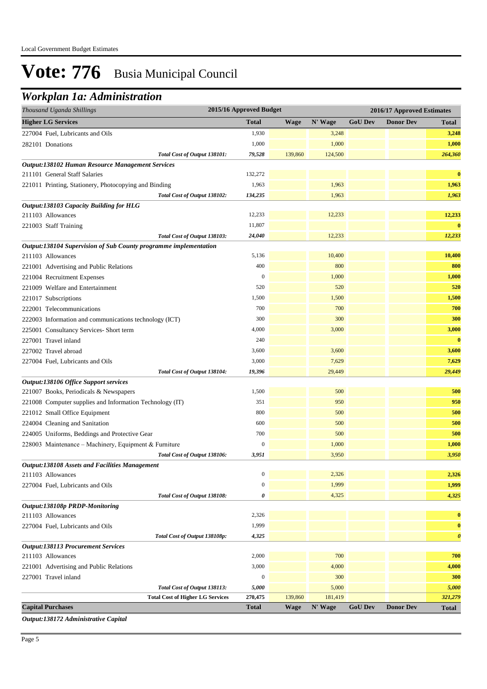## *Workplan 1a: Administration*

| Thousand Uganda Shillings                                        |                                         | 2015/16 Approved Budget |             |         | 2016/17 Approved Estimates |                  |                       |  |
|------------------------------------------------------------------|-----------------------------------------|-------------------------|-------------|---------|----------------------------|------------------|-----------------------|--|
| <b>Higher LG Services</b>                                        |                                         | <b>Total</b>            | <b>Wage</b> | N' Wage | <b>GoU Dev</b>             | <b>Donor Dev</b> | <b>Total</b>          |  |
| 227004 Fuel, Lubricants and Oils                                 |                                         | 1,930                   |             | 3,248   |                            |                  | 3,248                 |  |
| 282101 Donations                                                 |                                         | 1,000                   |             | 1,000   |                            |                  | 1,000                 |  |
|                                                                  | Total Cost of Output 138101:            | 79,528                  | 139,860     | 124,500 |                            |                  | 264,360               |  |
| Output:138102 Human Resource Management Services                 |                                         |                         |             |         |                            |                  |                       |  |
| 211101 General Staff Salaries                                    |                                         | 132,272                 |             |         |                            |                  | $\bf{0}$              |  |
| 221011 Printing, Stationery, Photocopying and Binding            |                                         | 1,963                   |             | 1,963   |                            |                  | 1,963                 |  |
|                                                                  | Total Cost of Output 138102:            | 134,235                 |             | 1,963   |                            |                  | 1,963                 |  |
| Output:138103 Capacity Building for HLG                          |                                         |                         |             |         |                            |                  |                       |  |
| 211103 Allowances                                                |                                         | 12,233                  |             | 12,233  |                            |                  | 12,233                |  |
| 221003 Staff Training                                            |                                         | 11,807                  |             |         |                            |                  | $\bf{0}$              |  |
|                                                                  | Total Cost of Output 138103:            | 24,040                  |             | 12,233  |                            |                  | 12,233                |  |
| Output:138104 Supervision of Sub County programme implementation |                                         |                         |             |         |                            |                  |                       |  |
| 211103 Allowances                                                |                                         | 5,136                   |             | 10,400  |                            |                  | 10,400                |  |
| 221001 Advertising and Public Relations                          |                                         | 400                     |             | 800     |                            |                  | 800                   |  |
| 221004 Recruitment Expenses                                      |                                         | $\overline{0}$          |             | 1,000   |                            |                  | 1,000                 |  |
| 221009 Welfare and Entertainment                                 |                                         | 520                     |             | 520     |                            |                  | 520                   |  |
| 221017 Subscriptions                                             |                                         | 1,500                   |             | 1,500   |                            |                  | 1,500                 |  |
| 222001 Telecommunications                                        |                                         | 700                     |             | 700     |                            |                  | 700                   |  |
| 222003 Information and communications technology (ICT)           |                                         | 300                     |             | 300     |                            |                  | 300                   |  |
| 225001 Consultancy Services- Short term                          |                                         | 4,000                   |             | 3,000   |                            |                  | 3,000                 |  |
| 227001 Travel inland                                             |                                         | 240                     |             |         |                            |                  | $\bf{0}$              |  |
| 227002 Travel abroad                                             |                                         | 3,600                   |             | 3,600   |                            |                  | 3,600                 |  |
| 227004 Fuel, Lubricants and Oils                                 |                                         | 3,000                   |             | 7,629   |                            |                  | 7,629                 |  |
|                                                                  | Total Cost of Output 138104:            | 19,396                  |             | 29,449  |                            |                  | 29,449                |  |
| Output:138106 Office Support services                            |                                         |                         |             |         |                            |                  |                       |  |
| 221007 Books, Periodicals & Newspapers                           |                                         | 1,500                   |             | 500     |                            |                  | 500                   |  |
| 221008 Computer supplies and Information Technology (IT)         |                                         | 351                     |             | 950     |                            |                  | 950                   |  |
| 221012 Small Office Equipment                                    |                                         | 800                     |             | 500     |                            |                  | 500                   |  |
| 224004 Cleaning and Sanitation                                   |                                         | 600                     |             | 500     |                            |                  | 500                   |  |
| 224005 Uniforms, Beddings and Protective Gear                    |                                         | 700                     |             | 500     |                            |                  | 500                   |  |
| 228003 Maintenance - Machinery, Equipment & Furniture            |                                         | $\mathbf{0}$            |             | 1,000   |                            |                  | 1,000                 |  |
|                                                                  | Total Cost of Output 138106:            | 3,951                   |             | 3,950   |                            |                  | 3,950                 |  |
| <b>Output:138108 Assets and Facilities Management</b>            |                                         |                         |             |         |                            |                  |                       |  |
| 211103 Allowances                                                |                                         | $\boldsymbol{0}$        |             | 2,326   |                            |                  | 2,326                 |  |
| 227004 Fuel, Lubricants and Oils                                 |                                         | $\mathbf{0}$            |             | 1,999   |                            |                  | 1,999                 |  |
|                                                                  | Total Cost of Output 138108:            | 0                       |             | 4,325   |                            |                  | 4,325                 |  |
| Output:138108p PRDP-Monitoring                                   |                                         |                         |             |         |                            |                  |                       |  |
| 211103 Allowances                                                |                                         | 2,326                   |             |         |                            |                  | $\bf{0}$              |  |
| 227004 Fuel, Lubricants and Oils                                 |                                         | 1,999                   |             |         |                            |                  | $\bf{0}$              |  |
|                                                                  | Total Cost of Output 138108p:           | 4,325                   |             |         |                            |                  | $\boldsymbol{\theta}$ |  |
| <b>Output:138113 Procurement Services</b>                        |                                         |                         |             |         |                            |                  |                       |  |
| 211103 Allowances                                                |                                         | 2,000                   |             | 700     |                            |                  | 700                   |  |
| 221001 Advertising and Public Relations                          |                                         | 3,000                   |             | 4,000   |                            |                  | 4,000                 |  |
| 227001 Travel inland                                             |                                         | $\boldsymbol{0}$        |             | 300     |                            |                  | 300                   |  |
|                                                                  | Total Cost of Output 138113:            | 5,000                   |             | 5,000   |                            |                  | 5,000                 |  |
|                                                                  | <b>Total Cost of Higher LG Services</b> | 270,475                 | 139,860     | 181,419 |                            |                  | 321,279               |  |
| <b>Capital Purchases</b>                                         |                                         | <b>Total</b>            | <b>Wage</b> | N' Wage | <b>GoU Dev</b>             | <b>Donor Dev</b> | Total                 |  |

*Output:138172 Administrative Capital*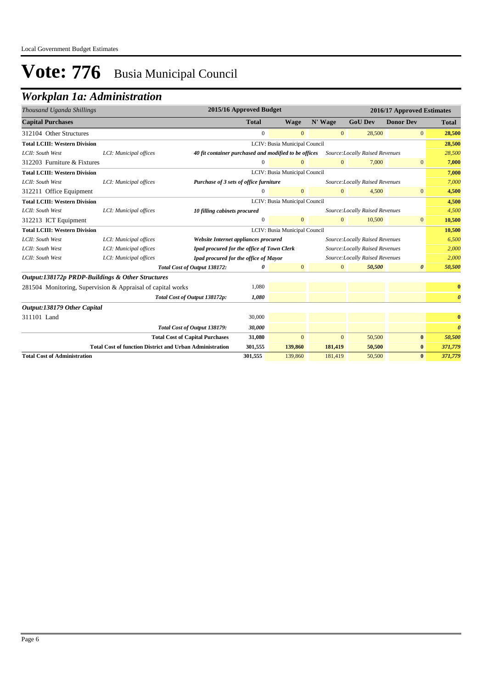## *Workplan 1a: Administration*

| Thousand Uganda Shillings                        |                                                                                                     |                                                       | 2015/16 Approved Budget |                               |                |                                 | 2016/17 Approved Estimates |                       |
|--------------------------------------------------|-----------------------------------------------------------------------------------------------------|-------------------------------------------------------|-------------------------|-------------------------------|----------------|---------------------------------|----------------------------|-----------------------|
| <b>Capital Purchases</b>                         |                                                                                                     |                                                       | <b>Total</b>            | <b>Wage</b>                   | N' Wage        | <b>GoU Dev</b>                  | <b>Donor Dev</b>           | <b>Total</b>          |
| 312104 Other Structures                          |                                                                                                     |                                                       | $\overline{0}$          | $\overline{0}$                | $\mathbf{0}$   | 28,500                          | $\mathbf{0}$               | 28,500                |
| <b>Total LCIII: Western Division</b>             |                                                                                                     |                                                       |                         | LCIV: Busia Municipal Council |                |                                 |                            | 28,500                |
| LCII: South West                                 | LCI: Municipal offices                                                                              | 40 fit container purchased and modified to be offices |                         |                               |                | Source:Locally Raised Revenues  |                            | 28,500                |
| 312203 Furniture & Fixtures                      |                                                                                                     |                                                       | 0                       | $\overline{0}$                | $\overline{0}$ | 7,000                           | $\mathbf{0}$               | 7,000                 |
| <b>Total LCIII: Western Division</b>             | LCIV: Busia Municipal Council                                                                       |                                                       |                         |                               |                | 7,000                           |                            |                       |
| LCII: South West                                 | Purchase of 3 sets of office furniture<br>Source: Locally Raised Revenues<br>LCI: Municipal offices |                                                       |                         | 7,000                         |                |                                 |                            |                       |
| 312211 Office Equipment                          |                                                                                                     |                                                       | $\Omega$                | $\overline{0}$                | $\Omega$       | 4,500                           | $\overline{0}$             | 4,500                 |
| <b>Total LCIII: Western Division</b>             | LCIV: Busia Municipal Council                                                                       |                                                       |                         |                               | 4,500          |                                 |                            |                       |
| LCII: South West                                 | LCI: Municipal offices                                                                              | 10 filling cabinets procured                          |                         |                               |                | Source: Locally Raised Revenues |                            | 4,500                 |
| 312213 ICT Equipment                             |                                                                                                     |                                                       | $\overline{0}$          | $\overline{0}$                | $\overline{0}$ | 10,500                          | $\mathbf{0}$               | 10,500                |
| <b>Total LCIII: Western Division</b>             |                                                                                                     |                                                       |                         | LCIV: Busia Municipal Council |                |                                 |                            | 10,500                |
| LCII: South West                                 | LCI: Municipal offices                                                                              | Website Internet appliances procured                  |                         |                               |                | Source: Locally Raised Revenues |                            | 6,500                 |
| LCII: South West                                 | LCI: Municipal offices                                                                              | Ipad procured for the office of Town Clerk            |                         |                               |                | Source: Locally Raised Revenues |                            | 2,000                 |
| LCII: South West                                 | LCI: Municipal offices                                                                              | Ipad procured for the office of Mayor                 |                         |                               |                | Source: Locally Raised Revenues |                            | 2,000                 |
|                                                  |                                                                                                     | Total Cost of Output 138172:                          | o                       | $\overline{0}$                | $\overline{0}$ | 50,500                          | $\boldsymbol{\theta}$      | 50,500                |
| Output:138172p PRDP-Buildings & Other Structures |                                                                                                     |                                                       |                         |                               |                |                                 |                            |                       |
|                                                  | 281504 Monitoring, Supervision & Appraisal of capital works                                         |                                                       | 1,080                   |                               |                |                                 |                            | $\bf{0}$              |
|                                                  |                                                                                                     | Total Cost of Output 138172p:                         | 1,080                   |                               |                |                                 |                            | $\boldsymbol{\theta}$ |
| Output:138179 Other Capital                      |                                                                                                     |                                                       |                         |                               |                |                                 |                            |                       |
| 311101 Land                                      |                                                                                                     |                                                       | 30,000                  |                               |                |                                 |                            | $\bf{0}$              |
|                                                  |                                                                                                     | Total Cost of Output 138179:                          | 30,000                  |                               |                |                                 |                            | $\boldsymbol{\theta}$ |
|                                                  |                                                                                                     | <b>Total Cost of Capital Purchases</b>                | 31,080                  | $\mathbf{0}$                  | $\mathbf{0}$   | 50,500                          | $\bf{0}$                   | 50,500                |
|                                                  | <b>Total Cost of function District and Urban Administration</b>                                     |                                                       | 301,555                 | 139,860                       | 181,419        | 50,500                          | $\bf{0}$                   | 371,779               |
| <b>Total Cost of Administration</b>              |                                                                                                     |                                                       | 301,555                 | 139,860                       | 181,419        | 50,500                          | $\bf{0}$                   | 371,779               |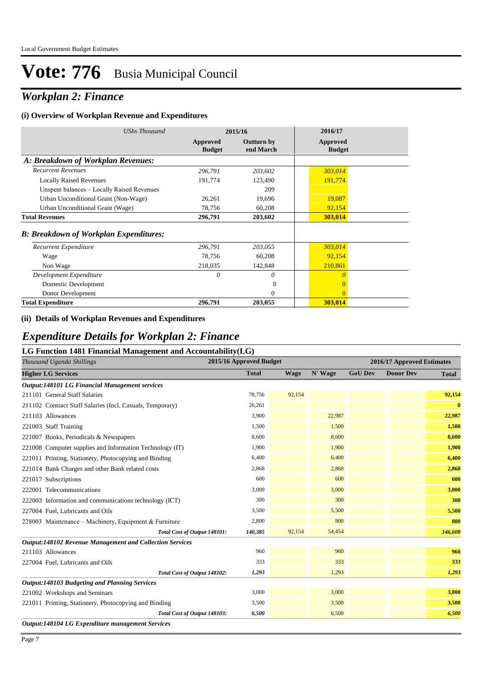## *Workplan 2: Finance*

#### **(i) Overview of Workplan Revenue and Expenditures**

| UShs Thousand                                 |                           | 2015/16                 | 2016/17                   |
|-----------------------------------------------|---------------------------|-------------------------|---------------------------|
|                                               | Approved<br><b>Budget</b> | Outturn by<br>end March | Approved<br><b>Budget</b> |
| A: Breakdown of Workplan Revenues:            |                           |                         |                           |
| <b>Recurrent Revenues</b>                     | 296,791                   | 203,602                 | 303,014                   |
| <b>Locally Raised Revenues</b>                | 191,774                   | 123,490                 | 191,774                   |
| Unspent balances - Locally Raised Revenues    |                           | 209                     |                           |
| Urban Unconditional Grant (Non-Wage)          | 26,261                    | 19,696                  | 19,087                    |
| Urban Unconditional Grant (Wage)              | 78,756                    | 60,208                  | 92,154                    |
| <b>Total Revenues</b>                         | 296,791                   | 203,602                 | 303,014                   |
| <b>B: Breakdown of Workplan Expenditures:</b> |                           |                         |                           |
| Recurrent Expenditure                         | 296,791                   | 203,055                 | 303,014                   |
| Wage                                          | 78,756                    | 60,208                  | 92,154                    |
| Non Wage                                      | 218,035                   | 142,848                 | 210,861                   |
| Development Expenditure                       | 0                         | 0                       | $\theta$                  |
| Domestic Development                          |                           | $\Omega$                | $\Omega$                  |
| Donor Development                             |                           | $\Omega$                | $\Omega$                  |
| <b>Total Expenditure</b>                      | 296,791                   | 203,055                 | 303,014                   |

#### **(ii) Details of Workplan Revenues and Expenditures**

### *Expenditure Details for Workplan 2: Finance*

#### **LG Function 1481 Financial Management and Accountability(LG)**

| 0<br>Thousand Uganda Shillings                                  | 2015/16 Approved Budget |             |         |                | 2016/17 Approved Estimates |              |
|-----------------------------------------------------------------|-------------------------|-------------|---------|----------------|----------------------------|--------------|
| <b>Higher LG Services</b>                                       | <b>Total</b>            | <b>Wage</b> | N' Wage | <b>GoU Dev</b> | <b>Donor Dev</b>           | <b>Total</b> |
| <b>Output:148101 LG Financial Management services</b>           |                         |             |         |                |                            |              |
| 211101 General Staff Salaries                                   | 78,756                  | 92,154      |         |                |                            | 92,154       |
| 211102 Contract Staff Salaries (Incl. Casuals, Temporary)       | 26,261                  |             |         |                |                            | $\bf{0}$     |
| 211103 Allowances                                               | 3,900                   |             | 22,987  |                |                            | 22,987       |
| 221003 Staff Training                                           | 1,500                   |             | 1,500   |                |                            | 1,500        |
| 221007 Books, Periodicals & Newspapers                          | 8,600                   |             | 8,600   |                |                            | 8,600        |
| 221008 Computer supplies and Information Technology (IT)        | 1,900                   |             | 1.900   |                |                            | 1,900        |
| 221011 Printing, Stationery, Photocopying and Binding           | 6,400                   |             | 6,400   |                |                            | 6,400        |
| 221014 Bank Charges and other Bank related costs                | 2.868                   |             | 2,868   |                |                            | 2,868        |
| 221017 Subscriptions                                            | 600                     |             | 600     |                |                            | 600          |
| 222001 Telecommunications                                       | 3,000                   |             | 3,000   |                |                            | 3,000        |
| 222003 Information and communications technology (ICT)          | 300                     |             | 300     |                |                            | 300          |
| 227004 Fuel, Lubricants and Oils                                | 3,500                   |             | 5,500   |                |                            | 5,500        |
| 228003 Maintenance – Machinery, Equipment & Furniture           | 2,800                   |             | 800     |                |                            | 800          |
| Total Cost of Output 148101:                                    | 140,385                 | 92,154      | 54,454  |                |                            | 146,608      |
| <b>Output:148102 Revenue Management and Collection Services</b> |                         |             |         |                |                            |              |
| 211103 Allowances                                               | 960                     |             | 960     |                |                            | 960          |
| 227004 Fuel, Lubricants and Oils                                | 333                     |             | 333     |                |                            | 333          |
| Total Cost of Output 148102:                                    | 1,293                   |             | 1,293   |                |                            | 1,293        |
| Output:148103 Budgeting and Planning Services                   |                         |             |         |                |                            |              |
| 221002 Workshops and Seminars                                   | 3,000                   |             | 3,000   |                |                            | 3,000        |
| 221011 Printing, Stationery, Photocopying and Binding           | 3,500                   |             | 3,500   |                |                            | 3,500        |
| Total Cost of Output 148103:                                    | 6,500                   |             | 6,500   |                |                            | 6,500        |
| Output:148104 LG Expenditure management Services                |                         |             |         |                |                            |              |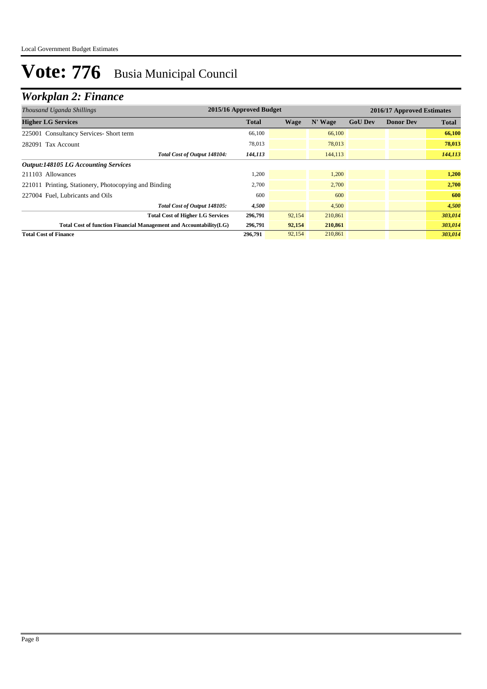## *Workplan 2: Finance*

| Thousand Uganda Shillings                                          | 2015/16 Approved Budget |        |         |                | 2016/17 Approved Estimates |              |
|--------------------------------------------------------------------|-------------------------|--------|---------|----------------|----------------------------|--------------|
| <b>Higher LG Services</b>                                          | <b>Total</b>            | Wage   | N' Wage | <b>GoU Dev</b> | <b>Donor Dev</b>           | <b>Total</b> |
| 225001 Consultancy Services- Short term                            | 66,100                  |        | 66,100  |                |                            | 66,100       |
| 282091 Tax Account                                                 | 78,013                  |        | 78,013  |                |                            | 78,013       |
| Total Cost of Output 148104:                                       | 144,113                 |        | 144,113 |                |                            | 144,113      |
| <b>Output:148105 LG Accounting Services</b>                        |                         |        |         |                |                            |              |
| 211103 Allowances                                                  | 1,200                   |        | 1,200   |                |                            | 1,200        |
| 221011 Printing, Stationery, Photocopying and Binding              | 2,700                   |        | 2.700   |                |                            | 2,700        |
| 227004 Fuel, Lubricants and Oils                                   | 600                     |        | 600     |                |                            | 600          |
| Total Cost of Output 148105:                                       | 4,500                   |        | 4,500   |                |                            | 4,500        |
| <b>Total Cost of Higher LG Services</b>                            | 296,791                 | 92,154 | 210,861 |                |                            | 303,014      |
| Total Cost of function Financial Management and Accountability(LG) | 296,791                 | 92,154 | 210,861 |                |                            | 303,014      |
| <b>Total Cost of Finance</b>                                       | 296,791                 | 92,154 | 210,861 |                |                            | 303,014      |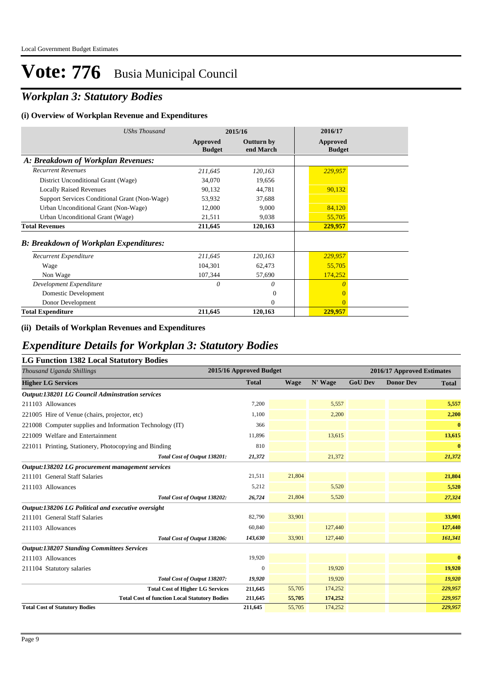## *Workplan 3: Statutory Bodies*

#### **(i) Overview of Workplan Revenue and Expenditures**

| <b>UShs Thousand</b>                           |                           | 2015/16                        | 2016/17                          |
|------------------------------------------------|---------------------------|--------------------------------|----------------------------------|
|                                                | Approved<br><b>Budget</b> | <b>Outturn by</b><br>end March | <b>Approved</b><br><b>Budget</b> |
| A: Breakdown of Workplan Revenues:             |                           |                                |                                  |
| <b>Recurrent Revenues</b>                      | 211,645                   | 120,163                        | 229,957                          |
| District Unconditional Grant (Wage)            | 34,070                    | 19,656                         |                                  |
| <b>Locally Raised Revenues</b>                 | 90,132                    | 44,781                         | 90,132                           |
| Support Services Conditional Grant (Non-Wage)  | 53,932                    | 37,688                         |                                  |
| Urban Unconditional Grant (Non-Wage)           | 12,000                    | 9,000                          | 84,120                           |
| Urban Unconditional Grant (Wage)               | 21,511                    | 9,038                          | 55,705                           |
| <b>Total Revenues</b>                          | 211,645                   | 120,163                        | 229,957                          |
| <b>B</b> : Breakdown of Workplan Expenditures: |                           |                                |                                  |
| Recurrent Expenditure                          | 211,645                   | 120,163                        | 229,957                          |
| Wage                                           | 104,301                   | 62,473                         | 55,705                           |
| Non Wage                                       | 107,344                   | 57,690                         | 174,252                          |
| Development Expenditure                        | 0                         | 0                              | $\theta$                         |
| Domestic Development                           |                           | $\mathbf{0}$                   | $\overline{0}$                   |
| Donor Development                              |                           | $\Omega$                       | $\Omega$                         |
| <b>Total Expenditure</b>                       | 211,645                   | 120,163                        | 229,957                          |

#### **(ii) Details of Workplan Revenues and Expenditures**

### *Expenditure Details for Workplan 3: Statutory Bodies*

| LG Function 1382 Local Statutory Bodies |
|-----------------------------------------|
|                                         |

| 2015/16 Approved Budget<br>Thousand Uganda Shillings     |              |        |         |                | 2016/17 Approved Estimates |              |
|----------------------------------------------------------|--------------|--------|---------|----------------|----------------------------|--------------|
| <b>Higher LG Services</b>                                | <b>Total</b> | Wage   | N' Wage | <b>GoU Dev</b> | <b>Donor Dev</b>           | <b>Total</b> |
| <b>Output:138201 LG Council Adminstration services</b>   |              |        |         |                |                            |              |
| 211103 Allowances                                        | 7,200        |        | 5,557   |                |                            | 5,557        |
| 221005 Hire of Venue (chairs, projector, etc)            | 1.100        |        | 2,200   |                |                            | 2,200        |
| 221008 Computer supplies and Information Technology (IT) | 366          |        |         |                |                            | $\mathbf{0}$ |
| 221009 Welfare and Entertainment                         | 11,896       |        | 13,615  |                |                            | 13,615       |
| 221011 Printing, Stationery, Photocopying and Binding    | 810          |        |         |                |                            | $\bf{0}$     |
| Total Cost of Output 138201:                             | 21,372       |        | 21,372  |                |                            | 21,372       |
| Output:138202 LG procurement management services         |              |        |         |                |                            |              |
| 211101 General Staff Salaries                            | 21,511       | 21,804 |         |                |                            | 21,804       |
| 211103 Allowances                                        | 5,212        |        | 5,520   |                |                            | 5,520        |
| Total Cost of Output 138202:                             | 26,724       | 21,804 | 5,520   |                |                            | 27,324       |
| Output:138206 LG Political and executive oversight       |              |        |         |                |                            |              |
| 211101 General Staff Salaries                            | 82,790       | 33,901 |         |                |                            | 33,901       |
| 211103 Allowances                                        | 60,840       |        | 127,440 |                |                            | 127,440      |
| Total Cost of Output 138206:                             | 143,630      | 33,901 | 127,440 |                |                            | 161,341      |
| <b>Output:138207 Standing Committees Services</b>        |              |        |         |                |                            |              |
| 211103 Allowances                                        | 19,920       |        |         |                |                            | $\bf{0}$     |
| 211104 Statutory salaries                                | $\mathbf{0}$ |        | 19,920  |                |                            | 19,920       |
| Total Cost of Output 138207:                             | 19,920       |        | 19,920  |                |                            | 19,920       |
| <b>Total Cost of Higher LG Services</b>                  | 211,645      | 55,705 | 174,252 |                |                            | 229,957      |
| <b>Total Cost of function Local Statutory Bodies</b>     | 211,645      | 55,705 | 174,252 |                |                            | 229,957      |
| <b>Total Cost of Statutory Bodies</b>                    | 211,645      | 55,705 | 174,252 |                |                            | 229,957      |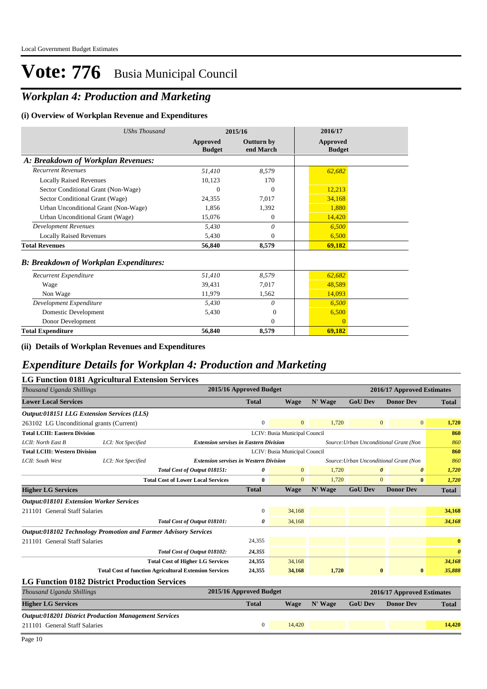## *Workplan 4: Production and Marketing*

#### **(i) Overview of Workplan Revenue and Expenditures**

| <b>UShs Thousand</b>                          | 2015/16                   |                                | 2016/17                   |
|-----------------------------------------------|---------------------------|--------------------------------|---------------------------|
|                                               | Approved<br><b>Budget</b> | <b>Outturn by</b><br>end March | Approved<br><b>Budget</b> |
| A: Breakdown of Workplan Revenues:            |                           |                                |                           |
| <b>Recurrent Revenues</b>                     | 51,410                    | 8,579                          | 62,682                    |
| <b>Locally Raised Revenues</b>                | 10,123                    | 170                            |                           |
| Sector Conditional Grant (Non-Wage)           | 0                         | $\Omega$                       | 12,213                    |
| Sector Conditional Grant (Wage)               | 24,355                    | 7,017                          | 34,168                    |
| Urban Unconditional Grant (Non-Wage)          | 1.856                     | 1,392                          | 1,880                     |
| Urban Unconditional Grant (Wage)              | 15,076                    | $\Omega$                       | 14,420                    |
| <b>Development Revenues</b>                   | 5,430                     | 0                              | 6,500                     |
| <b>Locally Raised Revenues</b>                | 5,430                     | $\Omega$                       | 6,500                     |
| <b>Total Revenues</b>                         | 56,840                    | 8,579                          | 69,182                    |
| <b>B: Breakdown of Workplan Expenditures:</b> |                           |                                |                           |
| Recurrent Expenditure                         | 51,410                    | 8,579                          | 62,682                    |
| Wage                                          | 39,431                    | 7.017                          | 48,589                    |
| Non Wage                                      | 11,979                    | 1,562                          | 14,093                    |
| Development Expenditure                       | 5,430                     | 0                              | 6,500                     |
| Domestic Development                          | 5,430                     | $\Omega$                       | 6,500                     |
| Donor Development                             |                           | $\Omega$                       | $\overline{0}$            |
| <b>Total Expenditure</b>                      | 56,840                    | 8,579                          | 69,182                    |

#### **(ii) Details of Workplan Revenues and Expenditures**

## *Expenditure Details for Workplan 4: Production and Marketing*

|                                                   | LG Function 0181 Agricultural Extension Services                       |                                               |                         |                               |         |                |                                        |                       |
|---------------------------------------------------|------------------------------------------------------------------------|-----------------------------------------------|-------------------------|-------------------------------|---------|----------------|----------------------------------------|-----------------------|
| Thousand Uganda Shillings                         |                                                                        |                                               | 2015/16 Approved Budget |                               |         |                | 2016/17 Approved Estimates             |                       |
| <b>Lower Local Services</b>                       |                                                                        |                                               | <b>Total</b>            | <b>Wage</b>                   | N' Wage | <b>GoU Dev</b> | <b>Donor Dev</b>                       | <b>Total</b>          |
| <b>Output:018151 LLG Extension Services (LLS)</b> |                                                                        |                                               |                         |                               |         |                |                                        |                       |
| 263102 LG Unconditional grants (Current)          |                                                                        |                                               | $\mathbf{0}$            | $\Omega$                      | 1.720   |                | $\overline{0}$<br>$\overline{0}$       | 1,720                 |
| <b>Total LCIII: Eastern Division</b>              |                                                                        |                                               |                         | LCIV: Busia Municipal Council |         |                |                                        | 860                   |
| LCII: North East B                                | LCI: Not Specified                                                     | <b>Extension servises in Eastern Division</b> |                         |                               |         |                | Source: Urban Unconditional Grant (Non | 860                   |
| <b>Total LCIII: Western Division</b>              |                                                                        |                                               |                         | LCIV: Busia Municipal Council |         |                |                                        | 860                   |
| LCII: South West                                  | LCI: Not Specified                                                     | <b>Extension servises in Western Division</b> |                         |                               |         |                | Source: Urban Unconditional Grant (Non | 860                   |
|                                                   |                                                                        | Total Cost of Output 018151:                  | 0                       | $\mathbf{0}$                  | 1,720   |                | 0<br>$\boldsymbol{\theta}$             | 1,720                 |
|                                                   |                                                                        | <b>Total Cost of Lower Local Services</b>     | 0                       | $\mathbf{0}$                  | 1.720   |                | $\Omega$<br>$\bf{0}$                   | 1,720                 |
| <b>Higher LG Services</b>                         |                                                                        |                                               | <b>Total</b>            | <b>Wage</b>                   | N' Wage | <b>GoU Dev</b> | <b>Donor Dev</b>                       | <b>Total</b>          |
| <b>Output:018101 Extension Worker Services</b>    |                                                                        |                                               |                         |                               |         |                |                                        |                       |
| 211101 General Staff Salaries                     |                                                                        |                                               | $\overline{0}$          | 34,168                        |         |                |                                        | 34,168                |
|                                                   |                                                                        | Total Cost of Output 018101:                  | 0                       | 34,168                        |         |                |                                        | 34,168                |
|                                                   | <b>Output:018102 Technology Promotion and Farmer Advisory Services</b> |                                               |                         |                               |         |                |                                        |                       |
| 211101 General Staff Salaries                     |                                                                        |                                               | 24.355                  |                               |         |                |                                        | $\bf{0}$              |
|                                                   |                                                                        | Total Cost of Output 018102:                  | 24,355                  |                               |         |                |                                        | $\boldsymbol{\theta}$ |
|                                                   |                                                                        | <b>Total Cost of Higher LG Services</b>       | 24,355                  | 34,168                        |         |                |                                        | 34,168                |
|                                                   | <b>Total Cost of function Agricultural Extension Services</b>          |                                               | 24,355                  | 34,168                        | 1,720   |                | $\bf{0}$<br>$\bf{0}$                   | 35,888                |
|                                                   | <b>LG Function 0182 District Production Services</b>                   |                                               |                         |                               |         |                |                                        |                       |
| Thousand Uganda Shillings                         |                                                                        |                                               | 2015/16 Approved Budget |                               |         |                | 2016/17 Approved Estimates             |                       |
| <b>Higher LG Services</b>                         |                                                                        |                                               | <b>Total</b>            | <b>Wage</b>                   | N' Wage | <b>GoU Dev</b> | <b>Donor Dev</b>                       | <b>Total</b>          |
|                                                   | <b>Output:018201 District Production Management Services</b>           |                                               |                         |                               |         |                |                                        |                       |
| 211101 General Staff Salaries                     |                                                                        |                                               | $\overline{0}$          | 14,420                        |         |                |                                        | 14,420                |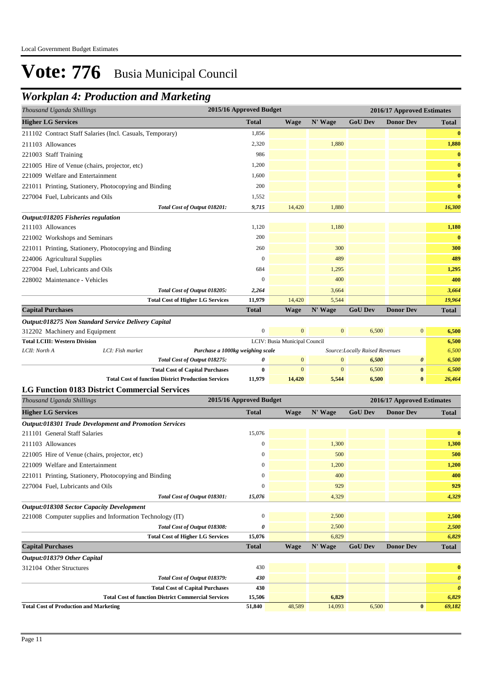## *Workplan 4: Production and Marketing*

| 2015/16 Approved Budget<br>Thousand Uganda Shillings                   |                         |                               | 2016/17 Approved Estimates   |                                 |                            |                       |
|------------------------------------------------------------------------|-------------------------|-------------------------------|------------------------------|---------------------------------|----------------------------|-----------------------|
| <b>Higher LG Services</b>                                              | <b>Total</b>            | <b>Wage</b>                   | N' Wage                      | <b>GoU Dev</b>                  | <b>Donor Dev</b>           | <b>Total</b>          |
| 211102 Contract Staff Salaries (Incl. Casuals, Temporary)              | 1,856                   |                               |                              |                                 |                            | $\bf{0}$              |
| 211103 Allowances                                                      | 2,320                   |                               | 1,880                        |                                 |                            | 1,880                 |
| 221003 Staff Training                                                  | 986                     |                               |                              |                                 |                            | $\bf{0}$              |
| 221005 Hire of Venue (chairs, projector, etc)                          | 1,200                   |                               |                              |                                 |                            | $\bf{0}$              |
| 221009 Welfare and Entertainment                                       | 1,600                   |                               |                              |                                 |                            | $\bf{0}$              |
| 221011 Printing, Stationery, Photocopying and Binding                  | 200                     |                               |                              |                                 |                            | $\bf{0}$              |
| 227004 Fuel, Lubricants and Oils                                       | 1,552                   |                               |                              |                                 |                            | $\bf{0}$              |
| Total Cost of Output 018201:                                           | 9,715                   | 14,420                        | 1,880                        |                                 |                            | 16,300                |
| Output:018205 Fisheries regulation                                     |                         |                               |                              |                                 |                            |                       |
| 211103 Allowances                                                      | 1,120                   |                               | 1,180                        |                                 |                            | 1,180                 |
| 221002 Workshops and Seminars                                          | 200                     |                               |                              |                                 |                            | $\bf{0}$              |
| 221011 Printing, Stationery, Photocopying and Binding                  | 260                     |                               | 300                          |                                 |                            | 300                   |
| 224006 Agricultural Supplies                                           | $\mathbf{0}$            |                               | 489                          |                                 |                            | 489                   |
| 227004 Fuel, Lubricants and Oils                                       | 684                     |                               | 1,295                        |                                 |                            | 1,295                 |
| 228002 Maintenance - Vehicles                                          | $\boldsymbol{0}$        |                               | 400                          |                                 |                            | 400                   |
| Total Cost of Output 018205:                                           | 2,264                   |                               | 3,664                        |                                 |                            | 3,664                 |
| <b>Total Cost of Higher LG Services</b>                                | 11,979                  | 14,420                        | 5,544                        |                                 |                            | 19,964                |
| <b>Capital Purchases</b>                                               | <b>Total</b>            | <b>Wage</b>                   | N' Wage                      | <b>GoU Dev</b>                  | <b>Donor Dev</b>           | <b>Total</b>          |
| Output:018275 Non Standard Service Delivery Capital                    |                         |                               |                              |                                 |                            |                       |
| 312202 Machinery and Equipment                                         | $\boldsymbol{0}$        | $\mathbf{0}$                  | $\mathbf{0}$                 | 6,500                           | $\boldsymbol{0}$           | 6,500                 |
| <b>Total LCIII: Western Division</b>                                   |                         | LCIV: Busia Municipal Council |                              |                                 |                            | 6,500                 |
| LCII: North A<br>LCI: Fish market<br>Purchase a 1000kg weighing scale  |                         | $\mathbf{0}$                  |                              | Source: Locally Raised Revenues | 0                          | 6,500                 |
| Total Cost of Output 018275:<br><b>Total Cost of Capital Purchases</b> | 0<br>$\bf{0}$           | $\mathbf{0}$                  | $\mathbf{0}$<br>$\mathbf{0}$ | 6,500<br>6,500                  | $\bf{0}$                   | 6,500<br>6,500        |
| <b>Total Cost of function District Production Services</b>             | 11,979                  | 14,420                        | 5,544                        | 6,500                           | $\bf{0}$                   | 26,464                |
| <b>LG Function 0183 District Commercial Services</b>                   |                         |                               |                              |                                 |                            |                       |
| Thousand Uganda Shillings                                              | 2015/16 Approved Budget |                               |                              |                                 | 2016/17 Approved Estimates |                       |
| <b>Higher LG Services</b>                                              | <b>Total</b>            | <b>Wage</b>                   | N' Wage                      | <b>GoU</b> Dev                  | <b>Donor Dev</b>           | <b>Total</b>          |
| Output:018301 Trade Development and Promotion Services                 |                         |                               |                              |                                 |                            |                       |
| 211101 General Staff Salaries                                          | 15,076                  |                               |                              |                                 |                            | $\bf{0}$              |
| 211103 Allowances                                                      | $\boldsymbol{0}$        |                               | 1,300                        |                                 |                            | 1,300                 |
| 221005 Hire of Venue (chairs, projector, etc)                          | $\boldsymbol{0}$        |                               | 500                          |                                 |                            | 500                   |
| 221009 Welfare and Entertainment                                       | $\boldsymbol{0}$        |                               | 1,200                        |                                 |                            | 1,200                 |
| 221011 Printing, Stationery, Photocopying and Binding                  | $\boldsymbol{0}$        |                               | 400                          |                                 |                            | 400                   |
| 227004 Fuel, Lubricants and Oils                                       | 0                       |                               | 929                          |                                 |                            | 929                   |
| Total Cost of Output 018301:                                           | 15,076                  |                               | 4,329                        |                                 |                            | 4,329                 |
| Output:018308 Sector Capacity Development                              |                         |                               |                              |                                 |                            |                       |
| 221008 Computer supplies and Information Technology (IT)               | $\boldsymbol{0}$        |                               | 2,500                        |                                 |                            | 2,500                 |
| Total Cost of Output 018308:                                           | 0                       |                               | 2,500                        |                                 |                            | 2,500                 |
| <b>Total Cost of Higher LG Services</b>                                | 15,076                  |                               | 6,829                        |                                 |                            | 6,829                 |
| <b>Capital Purchases</b>                                               | <b>Total</b>            | <b>Wage</b>                   | N' Wage                      | <b>GoU Dev</b>                  | <b>Donor Dev</b>           | Total                 |
| Output:018379 Other Capital                                            |                         |                               |                              |                                 |                            |                       |
| 312104 Other Structures                                                | 430                     |                               |                              |                                 |                            | $\bf{0}$              |
| Total Cost of Output 018379:                                           | 430                     |                               |                              |                                 |                            | $\boldsymbol{\theta}$ |
| <b>Total Cost of Capital Purchases</b>                                 | 430                     |                               |                              |                                 |                            | $\boldsymbol{\theta}$ |
| <b>Total Cost of function District Commercial Services</b>             | 15,506                  |                               | 6,829                        |                                 |                            | 6,829                 |
| <b>Total Cost of Production and Marketing</b>                          | 51,840                  | 48,589                        | 14,093                       | 6,500                           | $\bf{0}$                   | 69,182                |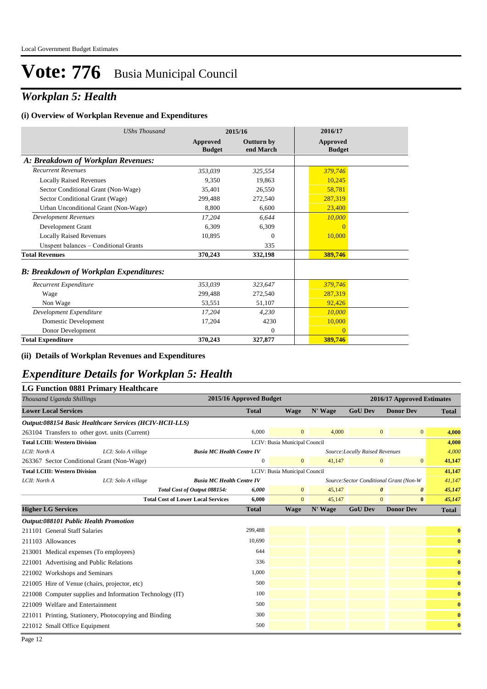## *Workplan 5: Health*

#### **(i) Overview of Workplan Revenue and Expenditures**

| <b>UShs Thousand</b>                          | 2015/16                   |                                | 2016/17                          |
|-----------------------------------------------|---------------------------|--------------------------------|----------------------------------|
|                                               | Approved<br><b>Budget</b> | <b>Outturn by</b><br>end March | <b>Approved</b><br><b>Budget</b> |
| A: Breakdown of Workplan Revenues:            |                           |                                |                                  |
| <b>Recurrent Revenues</b>                     | 353,039                   | 325,554                        | 379,746                          |
| <b>Locally Raised Revenues</b>                | 9,350                     | 19,863                         | 10,245                           |
| Sector Conditional Grant (Non-Wage)           | 35.401                    | 26,550                         | 58,781                           |
| Sector Conditional Grant (Wage)               | 299.488                   | 272,540                        | 287,319                          |
| Urban Unconditional Grant (Non-Wage)          | 8,800                     | 6,600                          | 23,400                           |
| <b>Development Revenues</b>                   | 17,204                    | 6,644                          | 10,000                           |
| Development Grant                             | 6.309                     | 6,309                          | $\overline{0}$                   |
| <b>Locally Raised Revenues</b>                | 10,895                    | $\Omega$                       | 10,000                           |
| Unspent balances - Conditional Grants         |                           | 335                            |                                  |
| <b>Total Revenues</b>                         | 370,243                   | 332,198                        | 389,746                          |
| <b>B: Breakdown of Workplan Expenditures:</b> |                           |                                |                                  |
| Recurrent Expenditure                         | 353,039                   | 323,647                        | 379,746                          |
| Wage                                          | 299.488                   | 272,540                        | 287,319                          |
| Non Wage                                      | 53,551                    | 51,107                         | 92,426                           |
| Development Expenditure                       | 17,204                    | 4,230                          | 10,000                           |
| Domestic Development                          | 17,204                    | 4230                           | 10,000                           |
| Donor Development                             |                           | $\mathbf{0}$                   | $\Omega$                         |
| <b>Total Expenditure</b>                      | 370,243                   | 327,877                        | 389,746                          |

**(ii) Details of Workplan Revenues and Expenditures**

### *Expenditure Details for Workplan 5: Health*

#### **LG Function 0881 Primary Healthcare**

| Thousand Uganda Shillings                                       |                                           | 2015/16 Approved Budget |                               |         |                                         | 2016/17 Approved Estimates |              |
|-----------------------------------------------------------------|-------------------------------------------|-------------------------|-------------------------------|---------|-----------------------------------------|----------------------------|--------------|
| <b>Lower Local Services</b>                                     |                                           | <b>Total</b>            | <b>Wage</b>                   | N' Wage | <b>GoU Dev</b>                          | <b>Donor Dev</b>           | <b>Total</b> |
| Output:088154 Basic Healthcare Services (HCIV-HCII-LLS)         |                                           |                         |                               |         |                                         |                            |              |
| 263104 Transfers to other govt. units (Current)                 |                                           | 6.000                   | $\overline{0}$                | 4,000   | $\mathbf{0}$                            | $\mathbf{0}$               | 4,000        |
| <b>Total LCIII: Western Division</b>                            |                                           |                         | LCIV: Busia Municipal Council |         |                                         |                            | 4,000        |
| LCII: North A<br>LCI: Solo A village                            | <b>Busia MC Health Centre IV</b>          |                         |                               |         | Source: Locally Raised Revenues         |                            | 4,000        |
| 263367 Sector Conditional Grant (Non-Wage)                      |                                           | $\mathbf{0}$            | $\overline{0}$                | 41.147  | $\overline{0}$                          | $\mathbf{0}$               | 41,147       |
| <b>Total LCIII: Western Division</b>                            |                                           |                         | LCIV: Busia Municipal Council |         |                                         |                            | 41,147       |
| LCII: North A<br>LCI: Solo A village                            | <b>Busia MC Health Centre IV</b>          |                         |                               |         | Source: Sector Conditional Grant (Non-W |                            | 41,147       |
|                                                                 | Total Cost of Output 088154:              | 6,000                   | $\overline{0}$                | 45,147  | $\boldsymbol{\theta}$                   | $\boldsymbol{\theta}$      | 45,147       |
|                                                                 | <b>Total Cost of Lower Local Services</b> | 6,000                   | $\overline{0}$                | 45,147  | $\mathbf{0}$                            | $\bf{0}$                   | 45,147       |
| <b>Higher LG Services</b>                                       |                                           | <b>Total</b>            | <b>Wage</b>                   | N' Wage | <b>GoU Dev</b>                          | <b>Donor Dev</b>           | <b>Total</b> |
| <b>Output:088101 Public Health Promotion</b>                    |                                           |                         |                               |         |                                         |                            |              |
| 211101 General Staff Salaries                                   |                                           | 299,488                 |                               |         |                                         |                            | $\bf{0}$     |
| 211103 Allowances                                               |                                           | 10.690                  |                               |         |                                         |                            | $\bf{0}$     |
| 213001 Medical expenses (To employees)                          |                                           | 644                     |                               |         |                                         |                            | $\bf{0}$     |
| 221001 Advertising and Public Relations                         |                                           | 336                     |                               |         |                                         |                            | $\bf{0}$     |
| 221002 Workshops and Seminars                                   |                                           | 1,000                   |                               |         |                                         |                            | $\bf{0}$     |
| 221005 Hire of Venue (chairs, projector, etc)                   |                                           | 500                     |                               |         |                                         |                            | $\bf{0}$     |
| 100<br>221008 Computer supplies and Information Technology (IT) |                                           |                         |                               |         |                                         | $\bf{0}$                   |              |
| 221009 Welfare and Entertainment                                | 500                                       |                         |                               |         |                                         |                            | $\bf{0}$     |
| 221011 Printing, Stationery, Photocopying and Binding           |                                           | 300                     |                               |         |                                         |                            | $\bf{0}$     |
| 221012 Small Office Equipment                                   |                                           | 500                     |                               |         |                                         |                            | $\bf{0}$     |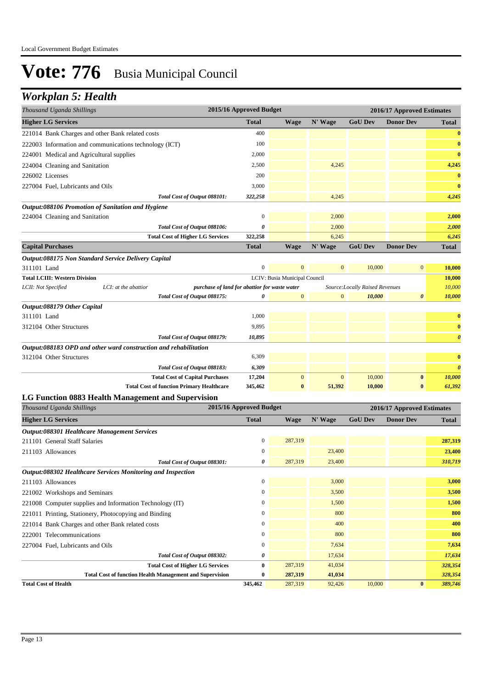## *Workplan 5: Health*

| Thousand Uganda Shillings                                        | 2015/16 Approved Budget                       |                               | 2016/17 Approved Estimates |                                 |                            |                       |
|------------------------------------------------------------------|-----------------------------------------------|-------------------------------|----------------------------|---------------------------------|----------------------------|-----------------------|
| <b>Higher LG Services</b>                                        | <b>Total</b>                                  | <b>Wage</b>                   | N' Wage                    | <b>GoU Dev</b>                  | <b>Donor Dev</b>           | <b>Total</b>          |
| 221014 Bank Charges and other Bank related costs                 | 400                                           |                               |                            |                                 |                            | $\mathbf{0}$          |
| 222003 Information and communications technology (ICT)           | 100                                           |                               |                            |                                 |                            | $\bf{0}$              |
| 224001 Medical and Agricultural supplies                         | 2,000                                         |                               |                            |                                 |                            | $\bf{0}$              |
| 224004 Cleaning and Sanitation                                   | 2,500                                         |                               | 4,245                      |                                 |                            | 4,245                 |
| 226002 Licenses                                                  | 200                                           |                               |                            |                                 |                            | $\mathbf{0}$          |
| 227004 Fuel, Lubricants and Oils                                 | 3,000                                         |                               |                            |                                 |                            | $\bf{0}$              |
| Total Cost of Output 088101:                                     | 322,258                                       |                               | 4,245                      |                                 |                            | 4,245                 |
| Output:088106 Promotion of Sanitation and Hygiene                |                                               |                               |                            |                                 |                            |                       |
| 224004 Cleaning and Sanitation                                   | $\overline{0}$                                |                               | 2,000                      |                                 |                            | 2,000                 |
| Total Cost of Output 088106:                                     | 0                                             |                               | 2,000                      |                                 |                            | 2,000                 |
| <b>Total Cost of Higher LG Services</b>                          | 322,258                                       |                               | 6,245                      |                                 |                            | 6,245                 |
| <b>Capital Purchases</b>                                         | <b>Total</b>                                  | <b>Wage</b>                   | N' Wage                    | <b>GoU Dev</b>                  | <b>Donor Dev</b>           | <b>Total</b>          |
| Output:088175 Non Standard Service Delivery Capital              |                                               |                               |                            |                                 |                            |                       |
| 311101 Land                                                      | $\boldsymbol{0}$                              | $\mathbf{0}$                  | $\mathbf{0}$               | 10,000                          | $\boldsymbol{0}$           | 10,000                |
| <b>Total LCIII: Western Division</b>                             |                                               | LCIV: Busia Municipal Council |                            |                                 |                            | 10,000                |
| LCII: Not Specified<br>LCI: at the abattior                      | purchase of land for abattior for waste water |                               |                            | Source: Locally Raised Revenues |                            | 10,000                |
| Total Cost of Output 088175:                                     | 0                                             | $\mathbf{0}$                  | $\mathbf{0}$               | 10,000                          | 0                          | 10,000                |
| Output:088179 Other Capital                                      |                                               |                               |                            |                                 |                            |                       |
| 311101 Land                                                      | 1,000                                         |                               |                            |                                 |                            | $\bf{0}$              |
| 312104 Other Structures                                          | 9,895                                         |                               |                            |                                 |                            | $\bf{0}$              |
| Total Cost of Output 088179:                                     | 10,895                                        |                               |                            |                                 |                            | $\boldsymbol{\theta}$ |
| Output:088183 OPD and other ward construction and rehabilitation |                                               |                               |                            |                                 |                            |                       |
| 312104 Other Structures                                          | 6,309                                         |                               |                            |                                 |                            | $\bf{0}$              |
| Total Cost of Output 088183:                                     | 6,309                                         |                               |                            |                                 |                            | $\boldsymbol{\theta}$ |
| <b>Total Cost of Capital Purchases</b>                           | 17,204                                        | $\mathbf{0}$                  | $\mathbf{0}$               | 10,000                          | $\bf{0}$                   | 10,000                |
| <b>Total Cost of function Primary Healthcare</b>                 | 345,462                                       | $\bf{0}$                      | 51,392                     | 10,000                          | $\bf{0}$                   | 61,392                |
| LG Function 0883 Health Management and Supervision               |                                               |                               |                            |                                 |                            |                       |
| Thousand Uganda Shillings                                        | 2015/16 Approved Budget                       |                               |                            |                                 | 2016/17 Approved Estimates |                       |
| <b>Higher LG Services</b>                                        | <b>Total</b>                                  | <b>Wage</b>                   | N' Wage                    | <b>GoU Dev</b>                  | <b>Donor Dev</b>           | <b>Total</b>          |
| <b>Output:088301 Healthcare Management Services</b>              |                                               |                               |                            |                                 |                            |                       |
| 211101 General Staff Salaries                                    | $\overline{0}$                                | 287,319                       |                            |                                 |                            | 287,319               |
| 211103 Allowances                                                | $\mathbf 0$                                   |                               | 23,400                     |                                 |                            | 23,400                |
| Total Cost of Output 088301:                                     | 0                                             | 287,319                       | 23,400                     |                                 |                            | 310,719               |
| Output:088302 Healthcare Services Monitoring and Inspection      |                                               |                               |                            |                                 |                            |                       |
| 211103 Allowances                                                | $\boldsymbol{0}$                              |                               | 3,000                      |                                 |                            | 3,000                 |
| 221002 Workshops and Seminars                                    | $\Omega$                                      |                               | 3,500                      |                                 |                            | 3,500                 |
| 221008 Computer supplies and Information Technology (IT)         | $\overline{0}$                                |                               | 1,500                      |                                 |                            | 1,500                 |

221011 Printing, Stationery, Photocopying and Binding 0 800 **800** 800 **800** 800 **800** 800 221014 Bank Charges and other Bank related costs 0 400 **400** 222001 Telecommunications **800 800 800 800 800 800 800 800 800 800 800 800 800 800 800** 227004 Fuel, Lubricants and Oils 0 7,634 **7,634**

**Total Cost of Health 345,462** 287,319 92,426 10,000 **0** *389,746*

*Total Cost of Output 088302:* **0 17,634 17,634 17,634 17,634 17,634 17,634 17,634 17,634 17,634 17,634 17,634 17,634 17,634 17,634 17,634 17,634 17,634 17,634 17,634 17,634 17,634 17,634 17,634 17,634 17,634 17,634 17,634 Total Cost of Higher LG Services 0** 287,319 41,034 *328,354*

**Total Cost of function Health Management and Supervision 0 287,319 41,034** *328,354*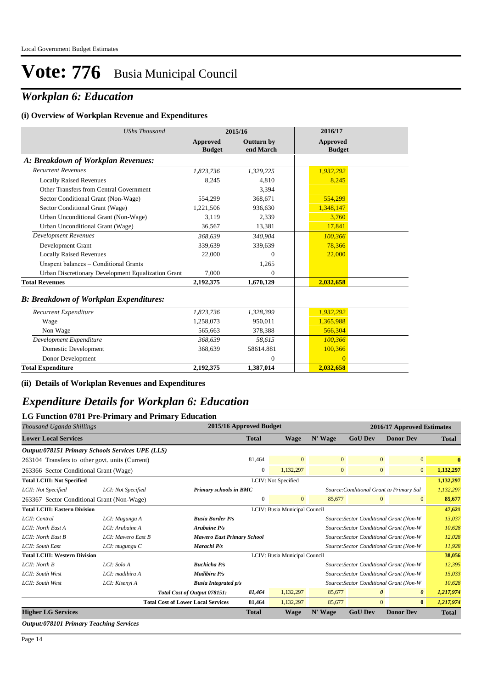## *Workplan 6: Education*

#### **(i) Overview of Workplan Revenue and Expenditures**

| <b>UShs Thousand</b>                               | 2015/16                   |                                | 2016/17                          |  |
|----------------------------------------------------|---------------------------|--------------------------------|----------------------------------|--|
|                                                    | Approved<br><b>Budget</b> | <b>Outturn by</b><br>end March | <b>Approved</b><br><b>Budget</b> |  |
| A: Breakdown of Workplan Revenues:                 |                           |                                |                                  |  |
| <b>Recurrent Revenues</b>                          | 1,823,736                 | 1,329,225                      | 1,932,292                        |  |
| <b>Locally Raised Revenues</b>                     | 8,245                     | 4.810                          | 8,245                            |  |
| Other Transfers from Central Government            |                           | 3,394                          |                                  |  |
| Sector Conditional Grant (Non-Wage)                | 554,299                   | 368,671                        | 554,299                          |  |
| Sector Conditional Grant (Wage)                    | 1,221,506                 | 936,630                        | 1,348,147                        |  |
| Urban Unconditional Grant (Non-Wage)               | 3,119                     | 2,339                          | 3,760                            |  |
| Urban Unconditional Grant (Wage)                   | 36.567                    | 13,381                         | 17,841                           |  |
| <b>Development Revenues</b>                        | 368.639                   | 340,904                        | 100,366                          |  |
| Development Grant                                  | 339.639                   | 339,639                        | 78,366                           |  |
| <b>Locally Raised Revenues</b>                     | 22,000                    | $\Omega$                       | 22,000                           |  |
| Unspent balances - Conditional Grants              |                           | 1,265                          |                                  |  |
| Urban Discretionary Development Equalization Grant | 7.000                     | $\Omega$                       |                                  |  |
| <b>Total Revenues</b>                              | 2,192,375                 | 1,670,129                      | 2,032,658                        |  |
| <b>B: Breakdown of Workplan Expenditures:</b>      |                           |                                |                                  |  |
| Recurrent Expenditure                              | 1,823,736                 | 1,328,399                      | 1,932,292                        |  |
| Wage                                               | 1,258,073                 | 950.011                        | 1,365,988                        |  |
| Non Wage                                           | 565,663                   | 378,388                        | 566,304                          |  |
| Development Expenditure                            | 368.639                   | 58,615                         | 100,366                          |  |
| Domestic Development                               | 368,639                   | 58614.881                      | 100,366                          |  |
| Donor Development                                  |                           | $\Omega$                       | $\Omega$                         |  |
| <b>Total Expenditure</b>                           | 2,192,375                 | 1,387,014                      | 2,032,658                        |  |

#### **(ii) Details of Workplan Revenues and Expenditures**

## *Expenditure Details for Workplan 6: Education*

|                                                                       | LG Function 0781 Pre-Primary and Primary Education |                                                                    |                |                               |              |                                         |                                         |              |
|-----------------------------------------------------------------------|----------------------------------------------------|--------------------------------------------------------------------|----------------|-------------------------------|--------------|-----------------------------------------|-----------------------------------------|--------------|
| Thousand Uganda Shillings                                             |                                                    | 2015/16 Approved Budget                                            |                |                               |              |                                         | 2016/17 Approved Estimates              |              |
| <b>Lower Local Services</b>                                           |                                                    |                                                                    | <b>Total</b>   | <b>Wage</b>                   | N' Wage      | <b>GoU Dev</b>                          | <b>Donor Dev</b>                        | <b>Total</b> |
|                                                                       | Output:078151 Primary Schools Services UPE (LLS)   |                                                                    |                |                               |              |                                         |                                         |              |
|                                                                       | 263104 Transfers to other govt. units (Current)    |                                                                    | 81,464         | $\overline{0}$                | $\mathbf{0}$ | $\overline{0}$                          | $\overline{0}$                          | $\mathbf{0}$ |
| 263366 Sector Conditional Grant (Wage)                                |                                                    |                                                                    | $\overline{0}$ | 1,132,297                     | $\mathbf{0}$ | $\mathbf{0}$                            | $\overline{0}$                          | 1,132,297    |
| <b>Total LCIII: Not Specified</b>                                     |                                                    |                                                                    |                | LCIV: Not Specified           |              |                                         |                                         | 1,132,297    |
| LCII: Not Specified                                                   | LCI: Not Specified                                 | Source: Conditional Grant to Primary Sal<br>Primary schools in BMC |                |                               |              | 1,132,297                               |                                         |              |
| 263367 Sector Conditional Grant (Non-Wage)                            |                                                    |                                                                    | $\mathbf{0}$   | $\overline{0}$                | 85,677       | $\overline{0}$                          | $\Omega$                                | 85,677       |
| <b>Total LCIII: Eastern Division</b><br>LCIV: Busia Municipal Council |                                                    |                                                                    |                |                               |              | 47,621                                  |                                         |              |
| LCII: Central                                                         | LCI: Mugungu A                                     | <b>Busia Border P/s</b>                                            |                |                               |              | Source: Sector Conditional Grant (Non-W |                                         | 13,037       |
| LCII: North East A                                                    | LCI: Arubaine A                                    | <b>Arubaine P/s</b>                                                |                |                               |              |                                         | Source: Sector Conditional Grant (Non-W | 10,628       |
| LCII: North East B                                                    | LCI: Mawero East B                                 | <b>Mawero East Primary School</b>                                  |                |                               |              |                                         | Source: Sector Conditional Grant (Non-W | 12,028       |
| LCII: South East                                                      | LCI: mugungu C                                     | Marachi P/s                                                        |                |                               |              | Source: Sector Conditional Grant (Non-W |                                         | 11,928       |
| <b>Total LCIII: Western Division</b>                                  |                                                    |                                                                    |                | LCIV: Busia Municipal Council |              |                                         |                                         | 38,056       |
| LCII: North B                                                         | LCI: Solo A                                        | <b>Buchicha P/s</b>                                                |                |                               |              |                                         | Source: Sector Conditional Grant (Non-W | 12,395       |
| LCII: South West                                                      | LCI: madibira A                                    | Madibira P/s                                                       |                |                               |              | Source: Sector Conditional Grant (Non-W |                                         | 15,033       |
| LCII: South West                                                      | LCI: Kisenyi A                                     | <b>Busia Integrated p/s</b>                                        |                |                               |              |                                         | Source: Sector Conditional Grant (Non-W | 10,628       |
|                                                                       |                                                    | Total Cost of Output 078151:                                       | 81,464         | 1,132,297                     | 85,677       | $\theta$                                | $\boldsymbol{\theta}$                   | 1,217,974    |
|                                                                       |                                                    | <b>Total Cost of Lower Local Services</b>                          | 81,464         | 1,132,297                     | 85,677       | $\overline{0}$                          | $\bf{0}$                                | 1,217,974    |
| <b>Higher LG Services</b>                                             |                                                    |                                                                    | <b>Total</b>   | <b>Wage</b>                   | N' Wage      | <b>GoU Dev</b>                          | <b>Donor Dev</b>                        | <b>Total</b> |

*Output:078101 Primary Teaching Services*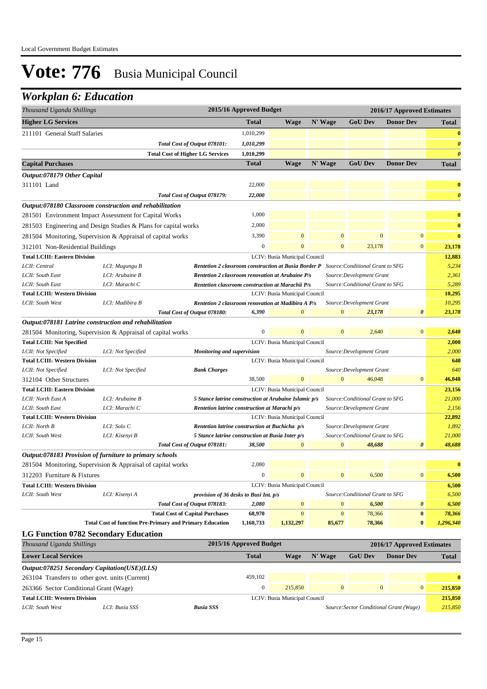## *Workplan 6: Education*

| Thousand Uganda Shillings                                       |                                   |                                                                 | 2015/16 Approved Budget                                 |                               |                  |                                  | 2016/17 Approved Estimates |                       |
|-----------------------------------------------------------------|-----------------------------------|-----------------------------------------------------------------|---------------------------------------------------------|-------------------------------|------------------|----------------------------------|----------------------------|-----------------------|
| <b>Higher LG Services</b>                                       |                                   |                                                                 | <b>Total</b>                                            | <b>Wage</b>                   | N' Wage          | <b>GoU Dev</b>                   | <b>Donor Dev</b>           | <b>Total</b>          |
| 211101 General Staff Salaries                                   |                                   |                                                                 | 1,010,299                                               |                               |                  |                                  |                            | $\bf{0}$              |
|                                                                 |                                   | Total Cost of Output 078101:                                    | 1,010,299                                               |                               |                  |                                  |                            | $\boldsymbol{\theta}$ |
|                                                                 |                                   | <b>Total Cost of Higher LG Services</b>                         | 1,010,299                                               |                               |                  |                                  |                            | $\boldsymbol{\theta}$ |
| <b>Capital Purchases</b>                                        |                                   |                                                                 | <b>Total</b>                                            | <b>Wage</b>                   | N' Wage          | <b>GoU Dev</b>                   | <b>Donor Dev</b>           | <b>Total</b>          |
| Output:078179 Other Capital                                     |                                   |                                                                 |                                                         |                               |                  |                                  |                            |                       |
| 311101 Land                                                     |                                   |                                                                 | 22,000                                                  |                               |                  |                                  |                            | $\bf{0}$              |
|                                                                 |                                   | Total Cost of Output 078179:                                    | 22,000                                                  |                               |                  |                                  |                            | $\boldsymbol{\theta}$ |
| Output:078180 Classroom construction and rehabilitation         |                                   |                                                                 |                                                         |                               |                  |                                  |                            |                       |
| 281501 Environment Impact Assessment for Capital Works          |                                   |                                                                 | 1,000                                                   |                               |                  |                                  |                            | $\bf{0}$              |
| 281503 Engineering and Design Studies & Plans for capital works |                                   |                                                                 | 2,000                                                   |                               |                  |                                  |                            | $\bf{0}$              |
| 281504 Monitoring, Supervision & Appraisal of capital works     |                                   |                                                                 | 3,390                                                   | $\overline{0}$                | $\mathbf{0}$     | $\boldsymbol{0}$                 | $\mathbf{0}$               | $\bf{0}$              |
| 312101 Non-Residential Buildings                                |                                   |                                                                 | $\boldsymbol{0}$                                        | $\Omega$                      | $\mathbf{0}$     | 23,178                           | $\mathbf{0}$               | 23,178                |
| <b>Total LCIII: Eastern Division</b>                            |                                   |                                                                 |                                                         | LCIV: Busia Municipal Council |                  |                                  |                            | 12,883                |
| LCII: Central                                                   | LCI: Mugungu B                    |                                                                 | Rentetion 2 classroom construction at Busia Border P    |                               |                  | Source: Conditional Grant to SFG |                            | 5,234                 |
| LCII: South East                                                | LCI: Arubaine B                   |                                                                 | <b>Rentetion 2 classroom renovation at Arubaine P/s</b> |                               |                  | Source: Development Grant        |                            | 2,361                 |
| LCII: South East                                                | LCI: Marachi C                    |                                                                 | Rentetion classroom construction at Marachii P/s        |                               |                  | Source: Conditional Grant to SFG |                            | 5,289                 |
| <b>Total LCIII: Western Division</b>                            |                                   |                                                                 |                                                         | LCIV: Busia Municipal Council |                  |                                  |                            | 10,295                |
| LCII: South West                                                | LCI: Madibira B                   |                                                                 | Rentetion 2 classroom renovation at Madibira A P/s      |                               |                  | Source: Development Grant        |                            | 10,295                |
|                                                                 |                                   | Total Cost of Output 078180:                                    | 6,390                                                   | $\Omega$                      | $\overline{0}$   | 23,178                           | 0                          | 23,178                |
| Output:078181 Latrine construction and rehabilitation           |                                   |                                                                 |                                                         |                               |                  |                                  |                            |                       |
| 281504 Monitoring, Supervision & Appraisal of capital works     |                                   |                                                                 | 0                                                       | $\mathbf{0}$                  | $\mathbf{0}$     | 2,640                            | $\bf{0}$                   | 2,640                 |
| <b>Total LCIII: Not Specified</b>                               |                                   |                                                                 |                                                         | LCIV: Busia Municipal Council |                  |                                  |                            | 2,000                 |
| LCII: Not Specified                                             | LCI: Not Specified                | <b>Monitoring and supervision</b><br>Source: Development Grant  |                                                         |                               |                  |                                  |                            | 2,000                 |
| <b>Total LCIII: Western Division</b>                            |                                   |                                                                 |                                                         | LCIV: Busia Municipal Council |                  |                                  |                            | 640                   |
| LCII: Not Specified                                             | LCI: Not Specified                | <b>Bank Charges</b>                                             |                                                         |                               |                  | Source: Development Grant        |                            | 640                   |
| 312104 Other Structures                                         |                                   |                                                                 | 38,500                                                  | $\mathbf{0}$                  | $\mathbf{0}$     | 46,048                           | $\mathbf{0}$               | 46,048                |
| <b>Total LCIII: Eastern Division</b>                            |                                   |                                                                 |                                                         | LCIV: Busia Municipal Council |                  |                                  |                            | 23,156                |
| LCII: North East A<br>LCII: South East                          | LCI: Arubaine B<br>LCI: Marachi C |                                                                 | 5 Stance latrine construction at Arubaine Islamic p/s   |                               |                  | Source: Conditional Grant to SFG |                            | 21,000                |
| <b>Total LCIII: Western Division</b>                            |                                   |                                                                 | Rentetion latrine construction at Marachi p/s           | LCIV: Busia Municipal Council |                  | Source: Development Grant        |                            | 2,156<br>22,892       |
| LCII: North B                                                   | LCI: Solo C                       |                                                                 | Rentetion latrine construction at Buchicha p/s          |                               |                  | Source: Development Grant        |                            | 1,892                 |
| LCII: South West                                                | LCI: Kisenyi B                    |                                                                 | 5 Stance latrine construction at Busia Inter p/s        |                               |                  | Source: Conditional Grant to SFG |                            | 21,000                |
|                                                                 |                                   | Total Cost of Output 078181:                                    | 38,500                                                  | $\mathbf{0}$                  | $\mathbf{0}$     | 48,688                           | 0                          | 48,688                |
| Output:078183 Provision of furniture to primary schools         |                                   |                                                                 |                                                         |                               |                  |                                  |                            |                       |
| 281504 Monitoring, Supervision & Appraisal of capital works     |                                   |                                                                 | 2,080                                                   |                               |                  |                                  |                            | $\bf{0}$              |
| 312203 Furniture & Fixtures                                     |                                   |                                                                 | $\boldsymbol{0}$                                        | $\boldsymbol{0}$              | $\boldsymbol{0}$ | 6,500                            | $\boldsymbol{0}$           | 6,500                 |
| <b>Total LCIII: Western Division</b>                            |                                   |                                                                 |                                                         | LCIV: Busia Municipal Council |                  |                                  |                            | 6,500                 |
| LCII: South West                                                | LCI: Kisenyi A                    |                                                                 | provision of 36 desks to Busi Int. p/s                  |                               |                  | Source: Conditional Grant to SFG |                            | 6,500                 |
|                                                                 |                                   | Total Cost of Output 078183:                                    | 2,080                                                   | $\mathbf{0}$                  | $\mathbf{0}$     | 6,500                            | 0                          | 6,500                 |
|                                                                 |                                   | <b>Total Cost of Capital Purchases</b>                          | 68,970                                                  | $\mathbf{0}$                  | $\mathbf{0}$     | 78,366                           | $\boldsymbol{0}$           | 78,366                |
|                                                                 |                                   | <b>Total Cost of function Pre-Primary and Primary Education</b> | 1,160,733                                               | 1,132,297                     | 85,677           | 78,366                           | $\bf{0}$                   | 1,296,340             |
| <b>LG Function 0782 Secondary Education</b>                     |                                   |                                                                 |                                                         |                               |                  |                                  |                            |                       |
| Thousand Uganda Shillings                                       |                                   |                                                                 | 2015/16 Approved Budget                                 |                               |                  |                                  | 2016/17 Approved Estimates |                       |
| <b>Lower Local Services</b>                                     |                                   |                                                                 | <b>Total</b>                                            | <b>Wage</b>                   | N' Wage          | <b>GoU Dev</b>                   | <b>Donor Dev</b>           | <b>Total</b>          |
| Output:078251 Secondary Capitation(USE)(LLS)                    |                                   |                                                                 |                                                         |                               |                  |                                  |                            |                       |
| 263104 Transfers to other govt. units (Current)                 |                                   |                                                                 | 459,102                                                 |                               |                  |                                  |                            | $\bf{0}$              |
| 263366 Sector Conditional Grant (Wage)                          |                                   |                                                                 | $\boldsymbol{0}$                                        | 215,850                       | $\boldsymbol{0}$ | $\bf{0}$                         | $\bf{0}$                   | 215,850               |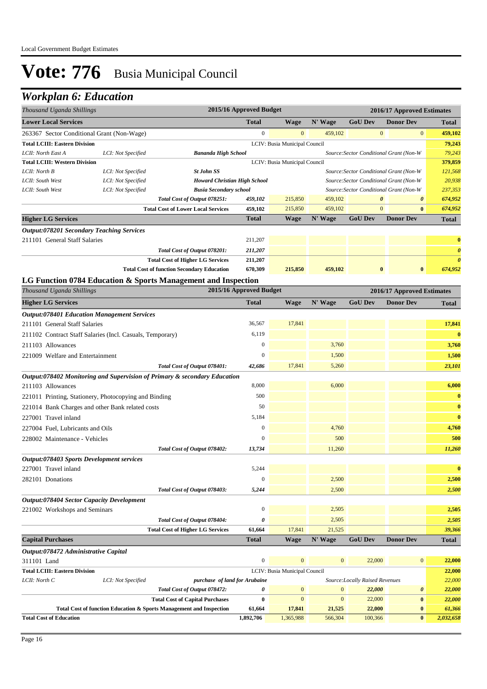## *Workplan 6: Education*

| Thousand Uganda Shillings                                 |                    | 2015/16 Approved Budget<br>2016/17 Approved Estimates                                                         |                            |                               |                          |                                |                                              |                       |
|-----------------------------------------------------------|--------------------|---------------------------------------------------------------------------------------------------------------|----------------------------|-------------------------------|--------------------------|--------------------------------|----------------------------------------------|-----------------------|
| <b>Lower Local Services</b>                               |                    |                                                                                                               | <b>Total</b>               | <b>Wage</b>                   | N' Wage                  | <b>GoU</b> Dev                 | <b>Donor Dev</b>                             | Total                 |
| 263367 Sector Conditional Grant (Non-Wage)                |                    |                                                                                                               | $\boldsymbol{0}$           | $\mathbf{0}$                  | 459,102                  | $\mathbf{0}$                   | $\boldsymbol{0}$                             | 459,102               |
| <b>Total LCIII: Eastern Division</b>                      |                    |                                                                                                               |                            | LCIV: Busia Municipal Council |                          |                                |                                              | 79,243                |
| LCII: North East A                                        | LCI: Not Specified | <b>Bananda High School</b>                                                                                    |                            |                               |                          |                                | Source: Sector Conditional Grant (Non-W      | 79,243                |
| <b>Total LCIII: Western Division</b>                      |                    |                                                                                                               |                            | LCIV: Busia Municipal Council |                          |                                |                                              | 379,859               |
| LCII: North B                                             | LCI: Not Specified | <b>St John SS</b>                                                                                             |                            |                               |                          |                                | Source: Sector Conditional Grant (Non-W      | 121,568               |
| LCII: South West                                          | LCI: Not Specified | <b>Howard Christian High School</b>                                                                           |                            |                               |                          |                                | Source: Sector Conditional Grant (Non-W      | 20,938                |
| LCII: South West                                          | LCI: Not Specified | <b>Busia Secondary school</b>                                                                                 |                            |                               | 459,102                  | $\boldsymbol{\theta}$          | Source: Sector Conditional Grant (Non-W<br>0 | 237,353               |
|                                                           |                    | Total Cost of Output 078251:<br><b>Total Cost of Lower Local Services</b>                                     | 459,102<br>459,102         | 215,850<br>215,850            | 459,102                  | $\mathbf{0}$                   | $\bf{0}$                                     | 674,952<br>674,952    |
| <b>Higher LG Services</b>                                 |                    |                                                                                                               | <b>Total</b>               | <b>Wage</b>                   | N' Wage                  | <b>GoU Dev</b>                 | <b>Donor Dev</b>                             | <b>Total</b>          |
| <b>Output:078201 Secondary Teaching Services</b>          |                    |                                                                                                               |                            |                               |                          |                                |                                              |                       |
| 211101 General Staff Salaries                             |                    |                                                                                                               | 211,207                    |                               |                          |                                |                                              | $\bf{0}$              |
|                                                           |                    | Total Cost of Output 078201:                                                                                  | 211,207                    |                               |                          |                                |                                              | $\boldsymbol{\theta}$ |
|                                                           |                    | <b>Total Cost of Higher LG Services</b>                                                                       | 211,207                    |                               |                          |                                |                                              | $\boldsymbol{\theta}$ |
|                                                           |                    | <b>Total Cost of function Secondary Education</b>                                                             | 670,309                    | 215,850                       | 459,102                  | $\bf{0}$                       | $\bf{0}$                                     | 674,952               |
|                                                           |                    | LG Function 0784 Education & Sports Management and Inspection                                                 |                            |                               |                          |                                |                                              |                       |
| Thousand Uganda Shillings                                 |                    |                                                                                                               | 2015/16 Approved Budget    |                               |                          |                                | 2016/17 Approved Estimates                   |                       |
| <b>Higher LG Services</b>                                 |                    |                                                                                                               | <b>Total</b>               | <b>Wage</b>                   | N' Wage                  | <b>GoU Dev</b>                 | <b>Donor Dev</b>                             | <b>Total</b>          |
| <b>Output:078401 Education Management Services</b>        |                    |                                                                                                               |                            |                               |                          |                                |                                              |                       |
| 211101 General Staff Salaries                             |                    |                                                                                                               | 36,567                     | 17,841                        |                          |                                |                                              | 17,841                |
| 211102 Contract Staff Salaries (Incl. Casuals, Temporary) |                    |                                                                                                               | 6,119                      |                               |                          |                                |                                              | $\bf{0}$              |
| 211103 Allowances                                         |                    |                                                                                                               | $\boldsymbol{0}$           |                               | 3,760                    |                                |                                              | 3,760                 |
| 221009 Welfare and Entertainment                          |                    |                                                                                                               | $\Omega$                   |                               | 1,500                    |                                |                                              | 1,500                 |
|                                                           |                    | Total Cost of Output 078401:                                                                                  | 42,686                     | 17,841                        | 5,260                    |                                |                                              | 23,101                |
|                                                           |                    | Output:078402 Monitoring and Supervision of Primary & secondary Education                                     |                            |                               |                          |                                |                                              |                       |
| 211103 Allowances                                         |                    |                                                                                                               | 8,000                      |                               | 6,000                    |                                |                                              | 6,000                 |
| 221011 Printing, Stationery, Photocopying and Binding     |                    |                                                                                                               | 500                        |                               |                          |                                |                                              | $\bf{0}$              |
| 221014 Bank Charges and other Bank related costs          |                    |                                                                                                               | 50                         |                               |                          |                                |                                              | $\bf{0}$              |
| 227001 Travel inland                                      |                    |                                                                                                               | 5,184                      |                               |                          |                                |                                              | $\bf{0}$              |
| 227004 Fuel, Lubricants and Oils                          |                    |                                                                                                               | $\boldsymbol{0}$           |                               | 4,760                    |                                |                                              | 4,760                 |
| 228002 Maintenance - Vehicles                             |                    |                                                                                                               | $\mathbf{0}$               |                               | 500                      |                                |                                              | 500                   |
|                                                           |                    | Total Cost of Output 078402:                                                                                  | 13,734                     |                               | 11,260                   |                                |                                              | 11,260                |
| Output:078403 Sports Development services                 |                    |                                                                                                               |                            |                               |                          |                                |                                              |                       |
| 227001 Travel inland                                      |                    |                                                                                                               | 5,244                      |                               |                          |                                |                                              | $\bf{0}$              |
| 282101 Donations                                          |                    |                                                                                                               | $\boldsymbol{0}$           |                               | 2,500                    |                                |                                              | 2,500                 |
|                                                           |                    | Total Cost of Output 078403:                                                                                  | 5,244                      |                               | 2,500                    |                                |                                              | 2,500                 |
| Output:078404 Sector Capacity Development                 |                    |                                                                                                               |                            |                               |                          |                                |                                              |                       |
| 221002 Workshops and Seminars                             |                    |                                                                                                               | $\boldsymbol{0}$           |                               | 2,505                    |                                |                                              | 2,505                 |
|                                                           |                    | Total Cost of Output 078404:                                                                                  | 0                          |                               | 2,505                    |                                |                                              | 2,505                 |
|                                                           |                    | <b>Total Cost of Higher LG Services</b>                                                                       | 61,664                     | 17,841                        | 21,525                   |                                |                                              | 39,366                |
| <b>Capital Purchases</b>                                  |                    |                                                                                                               | <b>Total</b>               | Wage                          | N' Wage                  | <b>GoU Dev</b>                 | <b>Donor Dev</b>                             | <b>Total</b>          |
| Output:078472 Administrative Capital                      |                    |                                                                                                               |                            |                               |                          |                                |                                              |                       |
| 311101 Land                                               |                    |                                                                                                               | $\boldsymbol{0}$           | $\mathbf{0}$                  | $\mathbf{0}$             | 22,000                         | $\boldsymbol{0}$                             | 22,000                |
| <b>Total LCIII: Eastern Division</b>                      |                    |                                                                                                               |                            | LCIV: Busia Municipal Council |                          |                                |                                              | 22,000                |
| LCII: North C                                             | LCI: Not Specified | purchase of land for Arubaine                                                                                 |                            |                               |                          | Source:Locally Raised Revenues |                                              | 22,000                |
|                                                           |                    | Total Cost of Output 078472:                                                                                  | 0                          | $\mathbf{0}$<br>$\mathbf{0}$  | $\bf{0}$<br>$\mathbf{0}$ | 22,000                         | 0                                            | 22,000                |
|                                                           |                    | <b>Total Cost of Capital Purchases</b><br>Total Cost of function Education & Sports Management and Inspection | $\boldsymbol{0}$<br>61,664 | 17,841                        | 21,525                   | 22,000<br>22,000               | $\bf{0}$<br>$\bf{0}$                         | 22,000<br>61,366      |
| <b>Total Cost of Education</b>                            |                    |                                                                                                               | 1,892,706                  | 1,365,988                     | 566,304                  | 100,366                        | $\bf{0}$                                     | 2,032,658             |
|                                                           |                    |                                                                                                               |                            |                               |                          |                                |                                              |                       |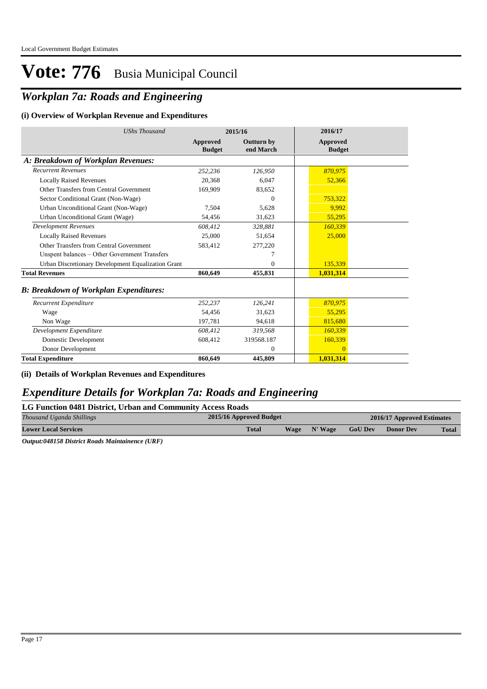## *Workplan 7a: Roads and Engineering*

#### **(i) Overview of Workplan Revenue and Expenditures**

| <b>UShs Thousand</b>                               |                           | 2015/16                        | 2016/17                          |
|----------------------------------------------------|---------------------------|--------------------------------|----------------------------------|
|                                                    | Approved<br><b>Budget</b> | <b>Outturn by</b><br>end March | <b>Approved</b><br><b>Budget</b> |
| A: Breakdown of Workplan Revenues:                 |                           |                                |                                  |
| <b>Recurrent Revenues</b>                          | 252,236                   | 126,950                        | 870,975                          |
| <b>Locally Raised Revenues</b>                     | 20,368                    | 6.047                          | 52,366                           |
| Other Transfers from Central Government            | 169,909                   | 83,652                         |                                  |
| Sector Conditional Grant (Non-Wage)                |                           | $\Omega$                       | 753,322                          |
| Urban Unconditional Grant (Non-Wage)               | 7,504                     | 5,628                          | 9,992                            |
| Urban Unconditional Grant (Wage)                   | 54,456                    | 31,623                         | 55,295                           |
| <b>Development Revenues</b>                        | 608.412                   | 328.881                        | 160,339                          |
| <b>Locally Raised Revenues</b>                     | 25,000                    | 51,654                         | 25,000                           |
| Other Transfers from Central Government            | 583,412                   | 277,220                        |                                  |
| Unspent balances - Other Government Transfers      |                           | 7                              |                                  |
| Urban Discretionary Development Equalization Grant |                           | $\Omega$                       | 135,339                          |
| <b>Total Revenues</b>                              | 860,649                   | 455,831                        | 1,031,314                        |
| <b>B: Breakdown of Workplan Expenditures:</b>      |                           |                                |                                  |
| Recurrent Expenditure                              | 252,237                   | 126,241                        | 870,975                          |
| Wage                                               | 54.456                    | 31.623                         | 55,295                           |
| Non Wage                                           | 197,781                   | 94,618                         | 815,680                          |
| Development Expenditure                            | 608.412                   | 319,568                        | 160,339                          |
| Domestic Development                               | 608,412                   | 319568.187                     | 160,339                          |
| Donor Development                                  |                           | $\theta$                       | $\Omega$                         |
| <b>Total Expenditure</b>                           | 860,649                   | 445,809                        | 1,031,314                        |

#### **(ii) Details of Workplan Revenues and Expenditures**

### *Expenditure Details for Workplan 7a: Roads and Engineering*

#### **LG Function 0481 District, Urban and Community Access Roads**

| Thousand Uganda Shillings   | 2015/16 Approved Budget |      |         | 2016/17 Approved Estimates |                  |              |
|-----------------------------|-------------------------|------|---------|----------------------------|------------------|--------------|
| <b>Lower Local Services</b> | <b>Total</b>            | Wage | N' Wage | <b>GoU Dev</b>             | <b>Donor Dev</b> | <b>Total</b> |

*Output:048158 District Roads Maintainence (URF)*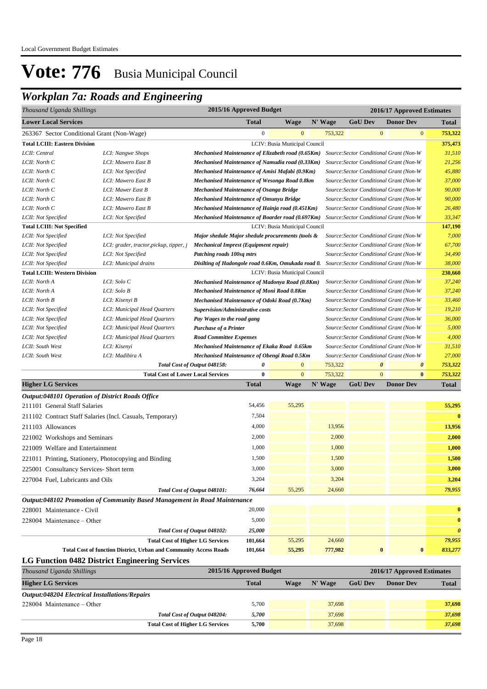## *Workplan 7a: Roads and Engineering*

| Thousand Uganda Shillings                               |                                                           |                                                    | 2015/16 Approved Budget |                               |         |                                         | 2016/17 Approved Estimates                     |              |  |
|---------------------------------------------------------|-----------------------------------------------------------|----------------------------------------------------|-------------------------|-------------------------------|---------|-----------------------------------------|------------------------------------------------|--------------|--|
| <b>Lower Local Services</b>                             |                                                           |                                                    | <b>Total</b>            | <b>Wage</b>                   | N' Wage | <b>GoU Dev</b>                          | <b>Donor Dev</b>                               | <b>Total</b> |  |
| 263367 Sector Conditional Grant (Non-Wage)              |                                                           |                                                    | $\mathbf{0}$            | $\overline{0}$                | 753,322 |                                         | $\overline{0}$<br>$\mathbf{0}$                 | 753,322      |  |
| <b>Total LCIII: Eastern Division</b>                    |                                                           |                                                    |                         | LCIV: Busia Municipal Council |         |                                         |                                                | 375,473      |  |
| LCII: Central                                           | LCI: Nangwe Shops                                         | Mechanised Maintenance of Elizabeth road (0.65Km)  |                         |                               |         |                                         | Source: Sector Conditional Grant (Non-W        | 31,510       |  |
| LCII: North C                                           | LCI: Mawero East B                                        | Mechanised Maintenance of Namudia road (0.33Km)    |                         |                               |         |                                         | Source: Sector Conditional Grant (Non-W        | 21,256       |  |
| LCII: North C                                           | LCI: Not Specified                                        | Mechanised Maintenance of Amisi Mafabi (0.9Km)     |                         |                               |         |                                         | Source: Sector Conditional Grant (Non-W        | 45,880       |  |
| LCII: North C                                           | LCI: Mawero East B                                        | Mechanised Maintenance of Wesonga Road 0.8km       |                         |                               |         |                                         | Source: Sector Conditional Grant (Non-W        | 37,000       |  |
| LCII: North C                                           | LCI: Mawer East B                                         | <b>Mechanised Maintenance of Osanga Bridge</b>     |                         |                               |         |                                         | Source: Sector Conditional Grant (Non-W        | 90,000       |  |
| LCII: North C                                           | LCI: Mawero East B                                        | <b>Mechanised Maintenance of Omunyu Bridge</b>     |                         |                               |         |                                         | Source: Sector Conditional Grant (Non-W        | 90,000       |  |
| LCII: North C                                           | LCI: Mawero East B                                        | Mechanised Maintenance of Hainja road (0.451Km)    |                         |                               |         |                                         | Source: Sector Conditional Grant (Non-W        | 26,480       |  |
| LCII: Not Specified                                     | LCI: Not Specified                                        | Mechanised Maintenance of Boarder road (0.697Km)   |                         |                               |         |                                         | Source: Sector Conditional Grant (Non-W        | 33,347       |  |
| <b>Total LCIII: Not Specified</b>                       |                                                           |                                                    |                         | LCIV: Busia Municipal Council |         |                                         |                                                | 147,190      |  |
| LCII: Not Specified                                     | LCI: Not Specified                                        | Major shedule Major shedule procurements (tools &  |                         |                               |         |                                         | Source: Sector Conditional Grant (Non-W        | 7,000        |  |
| LCII: Not Specified                                     | LCI: grader, tractor, pickup, tipper, j                   | <b>Mechanical Imprest (Equipment repair)</b>       |                         |                               |         |                                         | Source: Sector Conditional Grant (Non-W        | 67,700       |  |
| LCII: Not Specified                                     | LCI: Not Specified                                        | Patching roads 100sq mtrs                          |                         |                               |         |                                         | Source: Sector Conditional Grant (Non-W        | 34,490       |  |
| LCII: Not Specified                                     | LCI: Municipal drains                                     | Disilting of Hadongole road 0.6Km, Omukada road 0. |                         |                               |         |                                         | Source: Sector Conditional Grant (Non-W        | 38,000       |  |
| <b>Total LCIII: Western Division</b>                    |                                                           |                                                    |                         | LCIV: Busia Municipal Council |         |                                         |                                                | 230,660      |  |
| LCII: North A                                           | LCI: Solo C                                               | Mechanised Maintenance of Madonya Road (0.8Km)     |                         |                               |         |                                         | Source: Sector Conditional Grant (Non-W        | 37,240       |  |
| LCII: North A                                           | LCI: Solo B                                               | Mechanised Maintenance of Moni Road 0.8Km          |                         |                               |         |                                         | Source: Sector Conditional Grant (Non-W        | 37,240       |  |
| LCII: North B                                           | LCI: Kisenyi B                                            | Mechanised Maintenance of Odoki Road (0.7Km)       |                         |                               |         |                                         | Source: Sector Conditional Grant (Non-W        | 33,460       |  |
| LCII: Not Specified                                     | LCI: Municipal Head Quarters                              | Supervision/Administrative costs                   |                         |                               |         | Source: Sector Conditional Grant (Non-W |                                                |              |  |
| LCII: Not Specified                                     | LCI: Municipal Head Quarters                              | Pay Wages to the road gang                         |                         |                               |         | Source: Sector Conditional Grant (Non-W |                                                |              |  |
| LCII: Not Specified                                     | LCI: Municipal Head Quarters                              | <b>Purchase of a Printer</b>                       |                         |                               |         |                                         | Source: Sector Conditional Grant (Non-W        | 5,000        |  |
| LCII: Not Specified                                     | LCI: Municipal Head Quarters                              | <b>Road Committee Expenses</b>                     |                         |                               |         |                                         | Source: Sector Conditional Grant (Non-W        | 4,000        |  |
| LCII: South West                                        | LCI: Kisenyi                                              | Mechanised Maintenance of Ekaka Road 0.65km        |                         |                               |         |                                         | Source: Sector Conditional Grant (Non-W        | 31,510       |  |
| LCII: South West                                        | LCI: Madibira A                                           | Mechanised Maintenance of Obengi Road 0.5Km        |                         |                               |         |                                         | Source: Sector Conditional Grant (Non-W        | 27,000       |  |
|                                                         |                                                           | Total Cost of Output 048158:                       | 0                       | $\mathbf{0}$                  | 753,322 |                                         | $\boldsymbol{\theta}$<br>$\boldsymbol{\theta}$ | 753,322      |  |
|                                                         | <b>Total Cost of Lower Local Services</b>                 |                                                    | $\bf{0}$                | $\overline{0}$                | 753,322 |                                         | $\overline{0}$<br>$\bf{0}$                     | 753,322      |  |
| <b>Higher LG Services</b>                               |                                                           |                                                    | <b>Total</b>            | <b>Wage</b>                   | N' Wage | <b>GoU Dev</b>                          | <b>Donor Dev</b>                               | <b>Total</b> |  |
| <b>Output:048101 Operation of District Roads Office</b> |                                                           |                                                    |                         |                               |         |                                         |                                                |              |  |
| 211101 General Staff Salaries                           |                                                           |                                                    | 54,456                  | 55,295                        |         |                                         |                                                | 55,295       |  |
|                                                         | 211102 Contract Staff Salaries (Incl. Casuals, Temporary) |                                                    | 7,504                   |                               |         |                                         |                                                | $\bf{0}$     |  |
| 211103 Allowances                                       |                                                           |                                                    | 4,000                   |                               | 13,956  |                                         |                                                | 13,956       |  |
| 221002 Workshops and Seminars                           |                                                           |                                                    | 2,000                   |                               | 2,000   |                                         |                                                | 2,000        |  |
| 221009 Welfare and Entertainment                        |                                                           |                                                    | 1,000                   |                               | 1,000   |                                         |                                                | 1,000        |  |
| 221011 Printing, Stationery, Photocopying and Binding   |                                                           |                                                    | 1,500                   |                               | 1,500   |                                         |                                                | 1,500        |  |
| 225001 Consultancy Services- Short term                 |                                                           |                                                    | 3,000                   |                               | 3,000   |                                         |                                                | 3,000        |  |
| 227004 Fuel, Lubricants and Oils                        |                                                           |                                                    | 3,204                   |                               | 3,204   |                                         |                                                | 3,204        |  |
|                                                         |                                                           | Total Cost of Output 048101:                       | 76,664                  | 55,295                        | 24,660  |                                         |                                                | 79,955       |  |

*Output:048102 Promotion of Community Based Management in Road Maintenance* 228001 Maintenance - Civil 20,000 **0** 228004 Maintenance – Other 5,000 **0** *Total Cost of Output 048102: 25,000 0* **Total Cost of Higher LG Services 101,664** 55,295 24,660 *79,955* **Total Cost of function District, Urban and Community Access Roads 101,664 55,295 777,982 0 0** *833,277*

#### **LG Function 0482 District Engineering Services**

| Thousand Uganda Shillings                             | 2015/16 Approved Budget |      |           |                | 2016/17 Approved Estimates |              |
|-------------------------------------------------------|-------------------------|------|-----------|----------------|----------------------------|--------------|
| <b>Higher LG Services</b>                             | <b>Total</b>            | Wage | $N'$ Wage | <b>GoU Dev</b> | <b>Donor Dev</b>           | <b>Total</b> |
| <b>Output:048204 Electrical Installations/Repairs</b> |                         |      |           |                |                            |              |
| $228004$ Maintenance – Other                          | 5.700                   |      | 37,698    |                |                            | 37,698       |
| Total Cost of Output 048204:                          | 5.700                   |      | 37,698    |                |                            | 37,698       |
| <b>Total Cost of Higher LG Services</b>               | 5.700                   |      | 37,698    |                |                            | 37,698       |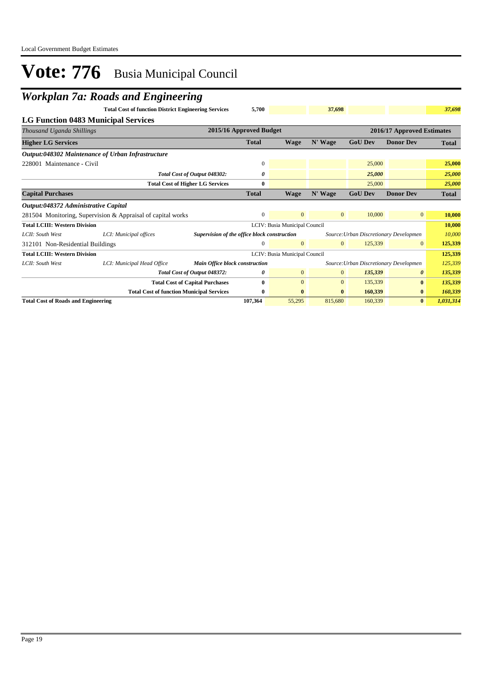## *Workplan 7a: Roads and Engineering*

|                                            | $\mathbf C$                                                 |                                              |                         |                               |                |                                        |                            |              |
|--------------------------------------------|-------------------------------------------------------------|----------------------------------------------|-------------------------|-------------------------------|----------------|----------------------------------------|----------------------------|--------------|
|                                            | <b>Total Cost of function District Engineering Services</b> |                                              | 5,700                   |                               | 37,698         |                                        |                            | 37,698       |
|                                            | LG Function 0483 Municipal Services                         |                                              |                         |                               |                |                                        |                            |              |
| Thousand Uganda Shillings                  |                                                             |                                              | 2015/16 Approved Budget |                               |                |                                        | 2016/17 Approved Estimates |              |
| <b>Higher LG Services</b>                  |                                                             |                                              | <b>Total</b>            | Wage                          | N' Wage        | <b>GoU Dev</b>                         | <b>Donor Dev</b>           | <b>Total</b> |
|                                            | Output:048302 Maintenance of Urban Infrastructure           |                                              |                         |                               |                |                                        |                            |              |
| 228001 Maintenance - Civil                 |                                                             |                                              | $\mathbf{0}$            |                               |                | 25,000                                 |                            | 25,000       |
|                                            |                                                             | Total Cost of Output 048302:                 | 0                       |                               |                | 25,000                                 |                            | 25,000       |
|                                            |                                                             | <b>Total Cost of Higher LG Services</b>      | $\bf{0}$                |                               |                | 25,000                                 |                            | 25,000       |
| <b>Capital Purchases</b>                   |                                                             |                                              | <b>Total</b>            | <b>Wage</b>                   | N' Wage        | <b>GoU Dev</b>                         | <b>Donor Dev</b>           | <b>Total</b> |
| Output:048372 Administrative Capital       |                                                             |                                              |                         |                               |                |                                        |                            |              |
|                                            | 281504 Monitoring, Supervision & Appraisal of capital works |                                              | $\overline{0}$          | $\overline{0}$                | $\overline{0}$ | 10,000                                 | $\mathbf{0}$               | 10,000       |
| <b>Total LCIII: Western Division</b>       |                                                             |                                              |                         | LCIV: Busia Municipal Council |                |                                        |                            | 10,000       |
| LCII: South West                           | LCI: Municipal offices                                      | Supervision of the office block construction |                         |                               |                | Source: Urban Discretionary Developmen |                            | 10,000       |
| 312101 Non-Residential Buildings           |                                                             |                                              | 0                       | $\mathbf{0}$                  | $\mathbf{0}$   | 125,339                                | $\overline{0}$             | 125,339      |
| <b>Total LCIII: Western Division</b>       |                                                             |                                              |                         | LCIV: Busia Municipal Council |                |                                        |                            | 125,339      |
| LCII: South West                           | LCI: Municipal Head Office                                  | <b>Main Office block construction</b>        |                         |                               |                | Source: Urban Discretionary Developmen |                            | 125,339      |
|                                            |                                                             | Total Cost of Output 048372:                 | 0                       | $\overline{0}$                | $\mathbf{0}$   | 135,339                                | $\boldsymbol{\theta}$      | 135,339      |
|                                            |                                                             | <b>Total Cost of Capital Purchases</b>       | 0                       | $\Omega$                      | $\mathbf{0}$   | 135,339                                | $\bf{0}$                   | 135,339      |
|                                            | <b>Total Cost of function Municipal Services</b>            |                                              | $\bf{0}$                | $\bf{0}$                      | $\bf{0}$       | 160,339                                | $\bf{0}$                   | 160,339      |
| <b>Total Cost of Roads and Engineering</b> |                                                             |                                              | 107,364                 | 55,295                        | 815,680        | 160,339                                | $\mathbf{0}$               | 1,031,314    |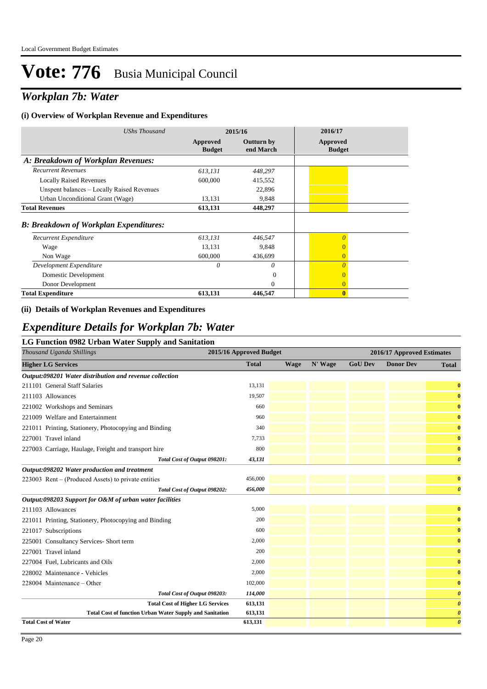## *Workplan 7b: Water*

#### **(i) Overview of Workplan Revenue and Expenditures**

| <b>UShs Thousand</b>                          |                           | 2015/16                        | 2016/17                   |
|-----------------------------------------------|---------------------------|--------------------------------|---------------------------|
|                                               | Approved<br><b>Budget</b> | <b>Outturn by</b><br>end March | Approved<br><b>Budget</b> |
| A: Breakdown of Workplan Revenues:            |                           |                                |                           |
| <b>Recurrent Revenues</b>                     | 613,131                   | 448,297                        |                           |
| <b>Locally Raised Revenues</b>                | 600,000                   | 415,552                        |                           |
| Unspent balances - Locally Raised Revenues    |                           | 22,896                         |                           |
| Urban Unconditional Grant (Wage)              | 13,131                    | 9,848                          |                           |
| <b>Total Revenues</b>                         | 613,131                   | 448,297                        |                           |
| <b>B: Breakdown of Workplan Expenditures:</b> |                           |                                |                           |
| Recurrent Expenditure                         | 613,131                   | 446,547                        | $\overline{0}$            |
| Wage                                          | 13,131                    | 9,848                          | $\overline{0}$            |
| Non Wage                                      | 600,000                   | 436,699                        | $\overline{0}$            |
| Development Expenditure                       | 0                         | 0                              | $\theta$                  |
| Domestic Development                          |                           | $\Omega$                       | $\Omega$                  |
| Donor Development                             |                           | $\theta$                       | $\Omega$                  |
| <b>Total Expenditure</b>                      | 613,131                   | 446,547                        | $\mathbf{0}$              |

#### **(ii) Details of Workplan Revenues and Expenditures**

### *Expenditure Details for Workplan 7b: Water*

#### **LG Function 0982 Urban Water Supply and Sanitation**

| во I ансион 0202 стран watch барргу ана банканоп<br>Thousand Uganda Shillings | 2015/16 Approved Budget |      |         |                | 2016/17 Approved Estimates |                       |
|-------------------------------------------------------------------------------|-------------------------|------|---------|----------------|----------------------------|-----------------------|
| <b>Higher LG Services</b>                                                     | <b>Total</b>            | Wage | N' Wage | <b>GoU Dev</b> | <b>Donor Dev</b>           | <b>Total</b>          |
| Output:098201 Water distribution and revenue collection                       |                         |      |         |                |                            |                       |
| 211101 General Staff Salaries                                                 | 13,131                  |      |         |                |                            | $\bf{0}$              |
| 211103 Allowances                                                             | 19,507                  |      |         |                |                            | $\bf{0}$              |
| 221002 Workshops and Seminars                                                 | 660                     |      |         |                |                            | $\bf{0}$              |
| 221009 Welfare and Entertainment                                              | 960                     |      |         |                |                            | $\bf{0}$              |
| 221011 Printing, Stationery, Photocopying and Binding                         | 340                     |      |         |                |                            | $\bf{0}$              |
| 227001 Travel inland                                                          | 7,733                   |      |         |                |                            | $\bf{0}$              |
| 227003 Carriage, Haulage, Freight and transport hire                          | 800                     |      |         |                |                            | $\bf{0}$              |
| Total Cost of Output 098201:                                                  | 43,131                  |      |         |                |                            | $\boldsymbol{\theta}$ |
| Output:098202 Water production and treatment                                  |                         |      |         |                |                            |                       |
| $223003$ Rent – (Produced Assets) to private entities                         | 456,000                 |      |         |                |                            | $\bf{0}$              |
| Total Cost of Output 098202:                                                  | 456,000                 |      |         |                |                            | $\boldsymbol{\theta}$ |
| Output:098203 Support for O&M of urban water facilities                       |                         |      |         |                |                            |                       |
| 211103 Allowances                                                             | 5,000                   |      |         |                |                            | $\bf{0}$              |
| 221011 Printing, Stationery, Photocopying and Binding                         | 200                     |      |         |                |                            | $\bf{0}$              |
| 221017 Subscriptions                                                          | 600                     |      |         |                |                            | $\bf{0}$              |
| 225001 Consultancy Services- Short term                                       | 2,000                   |      |         |                |                            | $\bf{0}$              |
| 227001 Travel inland                                                          | 200                     |      |         |                |                            | $\bf{0}$              |
| 227004 Fuel, Lubricants and Oils                                              | 2,000                   |      |         |                |                            | $\bf{0}$              |
| 228002 Maintenance - Vehicles                                                 | 2,000                   |      |         |                |                            | $\bf{0}$              |
| $228004$ Maintenance – Other                                                  | 102,000                 |      |         |                |                            | $\bf{0}$              |
| Total Cost of Output 098203:                                                  | 114,000                 |      |         |                |                            | $\boldsymbol{\theta}$ |
| <b>Total Cost of Higher LG Services</b>                                       | 613,131                 |      |         |                |                            | $\boldsymbol{\theta}$ |
| <b>Total Cost of function Urban Water Supply and Sanitation</b>               | 613,131                 |      |         |                |                            | $\boldsymbol{\theta}$ |
| <b>Total Cost of Water</b>                                                    | 613,131                 |      |         |                |                            | $\boldsymbol{\theta}$ |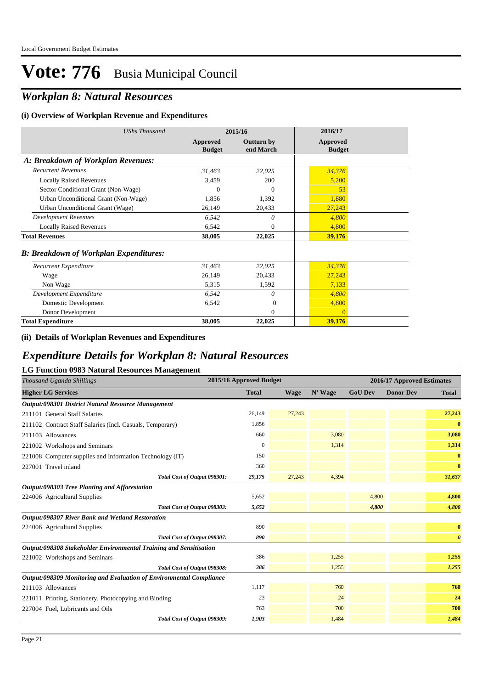## *Workplan 8: Natural Resources*

#### **(i) Overview of Workplan Revenue and Expenditures**

| <b>UShs Thousand</b>                          | 2015/16                   |                                | 2016/17                          |
|-----------------------------------------------|---------------------------|--------------------------------|----------------------------------|
|                                               | Approved<br><b>Budget</b> | <b>Outturn by</b><br>end March | <b>Approved</b><br><b>Budget</b> |
| A: Breakdown of Workplan Revenues:            |                           |                                |                                  |
| <b>Recurrent Revenues</b>                     | 31,463                    | 22,025                         | 34,376                           |
| <b>Locally Raised Revenues</b>                | 3,459                     | 200                            | 5,200                            |
| Sector Conditional Grant (Non-Wage)           | $\Omega$                  | $\theta$                       | 53                               |
| Urban Unconditional Grant (Non-Wage)          | 1,856                     | 1,392                          | 1,880                            |
| Urban Unconditional Grant (Wage)              | 26,149                    | 20,433                         | 27,243                           |
| <b>Development Revenues</b>                   | 6,542                     | 0                              | 4,800                            |
| <b>Locally Raised Revenues</b>                | 6,542                     | $\theta$                       | 4,800                            |
| <b>Total Revenues</b>                         | 38,005                    | 22,025                         | 39,176                           |
| <b>B: Breakdown of Workplan Expenditures:</b> |                           |                                |                                  |
| Recurrent Expenditure                         | 31,463                    | 22,025                         | 34,376                           |
| Wage                                          | 26,149                    | 20,433                         | 27,243                           |
| Non Wage                                      | 5,315                     | 1,592                          | 7,133                            |
| Development Expenditure                       | 6,542                     | 0                              | 4,800                            |
| Domestic Development                          | 6,542                     | $\Omega$                       | 4,800                            |
| Donor Development                             |                           | $\Omega$                       | $\Omega$                         |
| <b>Total Expenditure</b>                      | 38,005                    | 22,025                         | 39,176                           |

#### **(ii) Details of Workplan Revenues and Expenditures**

### *Expenditure Details for Workplan 8: Natural Resources*

| <b>LG Function 0983 Natural Resources Management</b>                |                         |        |         |                |                            |                       |
|---------------------------------------------------------------------|-------------------------|--------|---------|----------------|----------------------------|-----------------------|
| Thousand Uganda Shillings                                           | 2015/16 Approved Budget |        |         |                | 2016/17 Approved Estimates |                       |
| <b>Higher LG Services</b>                                           | <b>Total</b>            | Wage   | N' Wage | <b>GoU Dev</b> | <b>Donor Dev</b>           | <b>Total</b>          |
| Output:098301 District Natural Resource Management                  |                         |        |         |                |                            |                       |
| 211101 General Staff Salaries                                       | 26,149                  | 27,243 |         |                |                            | 27,243                |
| 211102 Contract Staff Salaries (Incl. Casuals, Temporary)           | 1,856                   |        |         |                |                            | $\bf{0}$              |
| 211103 Allowances                                                   | 660                     |        | 3,080   |                |                            | 3,080                 |
| 221002 Workshops and Seminars                                       | $\mathbf{0}$            |        | 1,314   |                |                            | 1,314                 |
| 221008 Computer supplies and Information Technology (IT)            | 150                     |        |         |                |                            | $\bf{0}$              |
| 227001 Travel inland                                                | 360                     |        |         |                |                            | $\bf{0}$              |
| Total Cost of Output 098301:                                        | 29,175                  | 27,243 | 4,394   |                |                            | 31,637                |
| Output:098303 Tree Planting and Afforestation                       |                         |        |         |                |                            |                       |
| 224006 Agricultural Supplies                                        | 5,652                   |        |         | 4,800          |                            | 4,800                 |
| Total Cost of Output 098303:                                        | 5,652                   |        |         | 4,800          |                            | 4,800                 |
| Output:098307 River Bank and Wetland Restoration                    |                         |        |         |                |                            |                       |
| 224006 Agricultural Supplies                                        | 890                     |        |         |                |                            | $\bf{0}$              |
| Total Cost of Output 098307:                                        | 890                     |        |         |                |                            | $\boldsymbol{\theta}$ |
| Output:098308 Stakeholder Environmental Training and Sensitisation  |                         |        |         |                |                            |                       |
| 221002 Workshops and Seminars                                       | 386                     |        | 1,255   |                |                            | 1,255                 |
| Total Cost of Output 098308:                                        | 386                     |        | 1,255   |                |                            | 1,255                 |
| Output:098309 Monitoring and Evaluation of Environmental Compliance |                         |        |         |                |                            |                       |
| 211103 Allowances                                                   | 1,117                   |        | 760     |                |                            | 760                   |
| 221011 Printing, Stationery, Photocopying and Binding               | 23                      |        | 24      |                |                            | 24                    |
| 227004 Fuel, Lubricants and Oils                                    | 763                     |        | 700     |                |                            | 700                   |
| Total Cost of Output 098309:                                        | 1,903                   |        | 1,484   |                |                            | 1,484                 |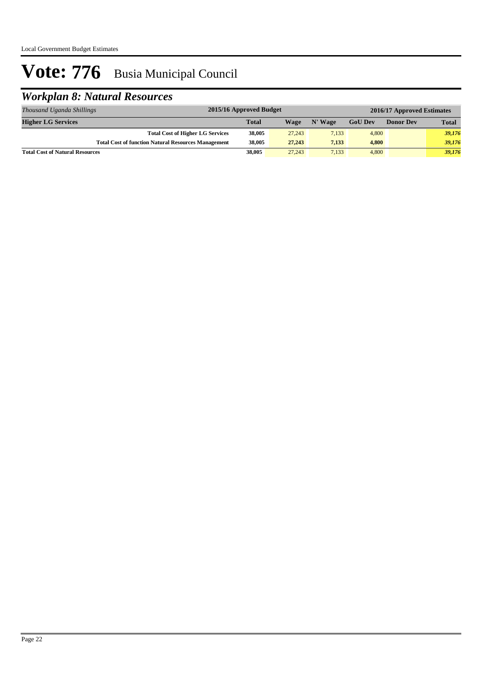## *Workplan 8: Natural Resources*

| Thousand Uganda Shillings              | 2015/16 Approved Budget<br>2016/17 Approved Estimates      |              |        |         |                |                  |              |
|----------------------------------------|------------------------------------------------------------|--------------|--------|---------|----------------|------------------|--------------|
| <b>Higher LG Services</b>              |                                                            | <b>Total</b> | Wage   | N' Wage | <b>GoU</b> Dev | <b>Donor Dev</b> | <b>Total</b> |
|                                        | <b>Total Cost of Higher LG Services</b>                    | 38,005       | 27,243 | 7,133   | 4,800          |                  | 39,176       |
|                                        | <b>Total Cost of function Natural Resources Management</b> | 38,005       | 27,243 | 7.133   | 4,800          |                  | 39,176       |
| <b>Total Cost of Natural Resources</b> |                                                            | 38,005       | 27,243 | 7.133   | 4,800          |                  | 39,176       |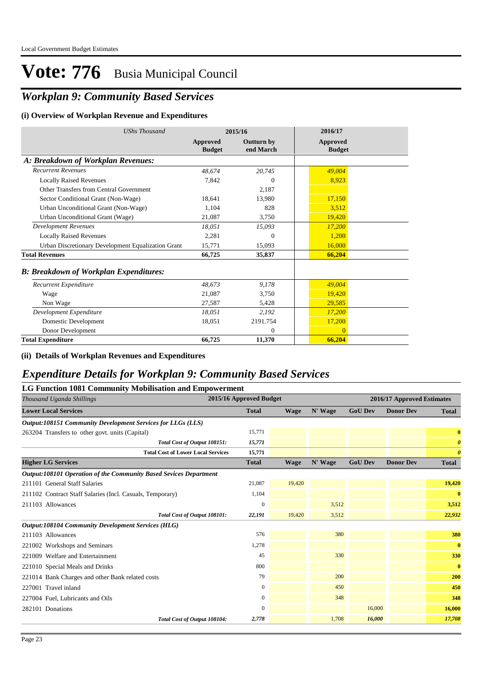## *Workplan 9: Community Based Services*

#### **(i) Overview of Workplan Revenue and Expenditures**

| <b>UShs Thousand</b>                               | 2015/16                   |                                | 2016/17                          |
|----------------------------------------------------|---------------------------|--------------------------------|----------------------------------|
|                                                    | Approved<br><b>Budget</b> | <b>Outturn by</b><br>end March | <b>Approved</b><br><b>Budget</b> |
| A: Breakdown of Workplan Revenues:                 |                           |                                |                                  |
| <b>Recurrent Revenues</b>                          | 48,674                    | 20,745                         | 49,004                           |
| <b>Locally Raised Revenues</b>                     | 7.842                     | $\theta$                       | 8.923                            |
| Other Transfers from Central Government            |                           | 2,187                          |                                  |
| Sector Conditional Grant (Non-Wage)                | 18.641                    | 13.980                         | 17,150                           |
| Urban Unconditional Grant (Non-Wage)               | 1.104                     | 828                            | 3.512                            |
| Urban Unconditional Grant (Wage)                   | 21,087                    | 3,750                          | 19,420                           |
| Development Revenues                               | 18.051                    | 15,093                         | 17.200                           |
| <b>Locally Raised Revenues</b>                     | 2,281                     | $\theta$                       | 1,200                            |
| Urban Discretionary Development Equalization Grant | 15,771                    | 15,093                         | 16,000                           |
| <b>Total Revenues</b>                              | 66,725                    | 35,837                         | 66,204                           |
| <b>B: Breakdown of Workplan Expenditures:</b>      |                           |                                |                                  |
| Recurrent Expenditure                              | 48,673                    | 9.178                          | 49,004                           |
| Wage                                               | 21.087                    | 3.750                          | 19.420                           |
| Non Wage                                           | 27,587                    | 5,428                          | 29,585                           |
| Development Expenditure                            | 18,051                    | 2,192                          | 17,200                           |
| Domestic Development                               | 18,051                    | 2191.754                       | 17,200                           |
| Donor Development                                  |                           | $\Omega$                       | $\Omega$                         |
| <b>Total Expenditure</b>                           | 66,725                    | 11,370                         | 66,204                           |

**(ii) Details of Workplan Revenues and Expenditures**

### *Expenditure Details for Workplan 9: Community Based Services*

| <b>LG Function 1081 Community Mobilisation and Empowerment</b>     |                         |             |         |                            |                  |                       |
|--------------------------------------------------------------------|-------------------------|-------------|---------|----------------------------|------------------|-----------------------|
| Thousand Uganda Shillings                                          | 2015/16 Approved Budget |             |         | 2016/17 Approved Estimates |                  |                       |
| <b>Lower Local Services</b>                                        | <b>Total</b>            | <b>Wage</b> | N' Wage | <b>GoU Dev</b>             | <b>Donor Dev</b> | <b>Total</b>          |
| <b>Output:108151 Community Development Services for LLGs (LLS)</b> |                         |             |         |                            |                  |                       |
| 263204 Transfers to other govt. units (Capital)                    | 15,771                  |             |         |                            |                  | $\bf{0}$              |
| Total Cost of Output 108151:                                       | 15,771                  |             |         |                            |                  | $\boldsymbol{\theta}$ |
| <b>Total Cost of Lower Local Services</b>                          | 15,771                  |             |         |                            |                  | $\boldsymbol{\theta}$ |
| <b>Higher LG Services</b>                                          | <b>Total</b>            | <b>Wage</b> | N' Wage | <b>GoU Dev</b>             | <b>Donor Dev</b> | <b>Total</b>          |
| Output:108101 Operation of the Community Based Sevices Department  |                         |             |         |                            |                  |                       |
| 211101 General Staff Salaries                                      | 21,087                  | 19,420      |         |                            |                  | 19,420                |
| 211102 Contract Staff Salaries (Incl. Casuals, Temporary)          | 1,104                   |             |         |                            |                  | $\bf{0}$              |
| 211103 Allowances                                                  | $\mathbf{0}$            |             | 3,512   |                            |                  | 3,512                 |
| Total Cost of Output 108101:                                       | 22,191                  | 19,420      | 3,512   |                            |                  | 22,932                |
| Output:108104 Community Development Services (HLG)                 |                         |             |         |                            |                  |                       |
| 211103 Allowances                                                  | 576                     |             | 380     |                            |                  | 380                   |
| 221002 Workshops and Seminars                                      | 1,278                   |             |         |                            |                  | $\bf{0}$              |
| 221009 Welfare and Entertainment                                   | 45                      |             | 330     |                            |                  | 330                   |
| 221010 Special Meals and Drinks                                    | 800                     |             |         |                            |                  | $\bf{0}$              |
| 221014 Bank Charges and other Bank related costs                   | 79                      |             | 200     |                            |                  | 200                   |
| 227001 Travel inland                                               | $\mathbf{0}$            |             | 450     |                            |                  | 450                   |
| 227004 Fuel, Lubricants and Oils                                   | $\mathbf{0}$            |             | 348     |                            |                  | 348                   |
| 282101 Donations                                                   | 0                       |             |         | 16,000                     |                  | 16,000                |
| Total Cost of Output 108104:                                       | 2,778                   |             | 1,708   | 16,000                     |                  | 17,708                |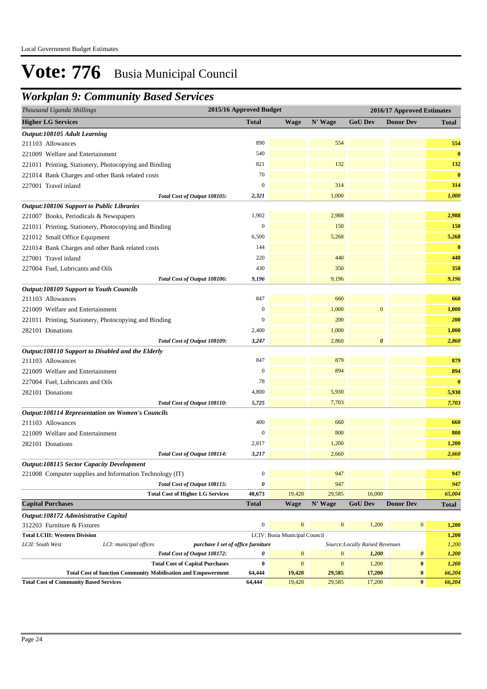## *Workplan 9: Community Based Services*

| <b>Wage</b><br><b>GoU Dev</b><br><b>Total</b><br>N' Wage<br><b>Donor Dev</b><br><b>Total</b><br>Output:108105 Adult Learning<br>890<br>554<br>211103 Allowances<br>554<br>540<br>221009 Welfare and Entertainment<br>821<br>132<br>132<br>70<br>$\bf{0}$<br>221014 Bank Charges and other Bank related costs<br>$\boldsymbol{0}$<br>314<br>227001 Travel inland<br>314<br>1,000<br>Total Cost of Output 108105:<br>2,321<br>1,000<br><b>Output:108106 Support to Public Libraries</b><br>221007 Books, Periodicals & Newspapers<br>1,902<br>2,988<br>2,988<br>$\boldsymbol{0}$<br>150<br>150<br>221011 Printing, Stationery, Photocopying and Binding<br>6,500<br>5,268<br>5,268<br>$\bf{0}$<br>144<br>220<br>440<br>440<br>227001 Travel inland<br>350<br>350<br>227004 Fuel, Lubricants and Oils<br>430<br>9,196<br>9,196<br>Total Cost of Output 108106:<br>9,196<br>847<br>211103 Allowances<br>660<br>660<br>$\boldsymbol{0}$<br>1,000<br>$\boldsymbol{0}$<br>1,000<br>221009 Welfare and Entertainment<br>$\mathbf{0}$<br>200<br>200<br>221011 Printing, Stationery, Photocopying and Binding<br>282101 Donations<br>2,400<br>1,000<br>1,000<br>$\boldsymbol{\theta}$<br>3,247<br>2,860<br>2,860<br>Total Cost of Output 108109:<br>Output:108110 Support to Disabled and the Elderly<br>847<br>879<br>879<br>211103 Allowances<br>894<br>$\mathbf{0}$<br>894<br>221009 Welfare and Entertainment<br>$\bf{0}$<br>227004 Fuel, Lubricants and Oils<br>78<br>4,800<br>5,930<br>5,930<br>282101 Donations<br>7,703<br>7,703<br>Total Cost of Output 108110:<br>5,725<br><b>Output:108114 Representation on Women's Councils</b><br>400<br>660<br>211103 Allowances<br>660<br>$\mathbf{0}$<br>800<br>800<br>221009 Welfare and Entertainment<br>2,817<br>1,200<br>1,200<br>282101 Donations<br>2,660<br>3,217<br>2,660<br>Total Cost of Output 108114:<br><b>Output:108115 Sector Capacity Development</b><br>221008 Computer supplies and Information Technology (IT)<br>$\boldsymbol{0}$<br>947<br>947<br>947<br>Total Cost of Output 108115:<br>0<br>947<br>48,673<br>19,420<br>29,585<br>16,000<br>65,004<br><b>Total Cost of Higher LG Services</b><br><b>Capital Purchases</b><br><b>Total</b><br><b>Wage</b><br>N' Wage<br><b>GoU Dev</b><br><b>Donor Dev</b><br>Total<br>Output:108172 Administrative Capital<br>$\boldsymbol{0}$<br>$\mathbf{0}$<br>$\bf{0}$<br>1,200<br>$\bf{0}$<br>312203 Furniture & Fixtures<br>1,200<br><b>Total LCIII: Western Division</b><br>LCIV: Busia Municipal Council<br>1,200<br>LCI: municipal offices<br>1,200<br>LCII: South West<br>Source: Locally Raised Revenues<br>purchase I set of office furniture<br>$\mathbf{0}$<br>$\mathbf{0}$<br>Total Cost of Output 108172:<br>0<br>1,200<br>$\pmb{\theta}$<br>1,200<br>$\mathbf{0}$<br>$\mathbf{0}$<br>1,200<br>1,200<br><b>Total Cost of Capital Purchases</b><br>$\bf{0}$<br>$\pmb{0}$<br>17,200<br>66,204<br><b>Total Cost of function Community Mobilisation and Empowerment</b><br>64,444<br>19,420<br>29,585<br>$\bf{0}$<br>$\pmb{0}$<br><b>Total Cost of Community Based Services</b><br>64,444<br>19,420<br>29,585<br>17,200<br>66,204 | Thousand Uganda Shillings                             | 2015/16 Approved Budget |  | 2016/17 Approved Estimates |  |
|--------------------------------------------------------------------------------------------------------------------------------------------------------------------------------------------------------------------------------------------------------------------------------------------------------------------------------------------------------------------------------------------------------------------------------------------------------------------------------------------------------------------------------------------------------------------------------------------------------------------------------------------------------------------------------------------------------------------------------------------------------------------------------------------------------------------------------------------------------------------------------------------------------------------------------------------------------------------------------------------------------------------------------------------------------------------------------------------------------------------------------------------------------------------------------------------------------------------------------------------------------------------------------------------------------------------------------------------------------------------------------------------------------------------------------------------------------------------------------------------------------------------------------------------------------------------------------------------------------------------------------------------------------------------------------------------------------------------------------------------------------------------------------------------------------------------------------------------------------------------------------------------------------------------------------------------------------------------------------------------------------------------------------------------------------------------------------------------------------------------------------------------------------------------------------------------------------------------------------------------------------------------------------------------------------------------------------------------------------------------------------------------------------------------------------------------------------------------------------------------------------------------------------------------------------------------------------------------------------------------------------------------------------------------------------------------------------------------------------------------------------------------------------------------------------------------------------------------------------------------------------------------------------------------------------------------------------------------------------------------------------------------------------------------------------------------------------------------------------------------------------------------|-------------------------------------------------------|-------------------------|--|----------------------------|--|
| $\bf{0}$                                                                                                                                                                                                                                                                                                                                                                                                                                                                                                                                                                                                                                                                                                                                                                                                                                                                                                                                                                                                                                                                                                                                                                                                                                                                                                                                                                                                                                                                                                                                                                                                                                                                                                                                                                                                                                                                                                                                                                                                                                                                                                                                                                                                                                                                                                                                                                                                                                                                                                                                                                                                                                                                                                                                                                                                                                                                                                                                                                                                                                                                                                                                   | <b>Higher LG Services</b>                             |                         |  |                            |  |
|                                                                                                                                                                                                                                                                                                                                                                                                                                                                                                                                                                                                                                                                                                                                                                                                                                                                                                                                                                                                                                                                                                                                                                                                                                                                                                                                                                                                                                                                                                                                                                                                                                                                                                                                                                                                                                                                                                                                                                                                                                                                                                                                                                                                                                                                                                                                                                                                                                                                                                                                                                                                                                                                                                                                                                                                                                                                                                                                                                                                                                                                                                                                            |                                                       |                         |  |                            |  |
|                                                                                                                                                                                                                                                                                                                                                                                                                                                                                                                                                                                                                                                                                                                                                                                                                                                                                                                                                                                                                                                                                                                                                                                                                                                                                                                                                                                                                                                                                                                                                                                                                                                                                                                                                                                                                                                                                                                                                                                                                                                                                                                                                                                                                                                                                                                                                                                                                                                                                                                                                                                                                                                                                                                                                                                                                                                                                                                                                                                                                                                                                                                                            |                                                       |                         |  |                            |  |
|                                                                                                                                                                                                                                                                                                                                                                                                                                                                                                                                                                                                                                                                                                                                                                                                                                                                                                                                                                                                                                                                                                                                                                                                                                                                                                                                                                                                                                                                                                                                                                                                                                                                                                                                                                                                                                                                                                                                                                                                                                                                                                                                                                                                                                                                                                                                                                                                                                                                                                                                                                                                                                                                                                                                                                                                                                                                                                                                                                                                                                                                                                                                            |                                                       |                         |  |                            |  |
|                                                                                                                                                                                                                                                                                                                                                                                                                                                                                                                                                                                                                                                                                                                                                                                                                                                                                                                                                                                                                                                                                                                                                                                                                                                                                                                                                                                                                                                                                                                                                                                                                                                                                                                                                                                                                                                                                                                                                                                                                                                                                                                                                                                                                                                                                                                                                                                                                                                                                                                                                                                                                                                                                                                                                                                                                                                                                                                                                                                                                                                                                                                                            | 221011 Printing, Stationery, Photocopying and Binding |                         |  |                            |  |
|                                                                                                                                                                                                                                                                                                                                                                                                                                                                                                                                                                                                                                                                                                                                                                                                                                                                                                                                                                                                                                                                                                                                                                                                                                                                                                                                                                                                                                                                                                                                                                                                                                                                                                                                                                                                                                                                                                                                                                                                                                                                                                                                                                                                                                                                                                                                                                                                                                                                                                                                                                                                                                                                                                                                                                                                                                                                                                                                                                                                                                                                                                                                            |                                                       |                         |  |                            |  |
|                                                                                                                                                                                                                                                                                                                                                                                                                                                                                                                                                                                                                                                                                                                                                                                                                                                                                                                                                                                                                                                                                                                                                                                                                                                                                                                                                                                                                                                                                                                                                                                                                                                                                                                                                                                                                                                                                                                                                                                                                                                                                                                                                                                                                                                                                                                                                                                                                                                                                                                                                                                                                                                                                                                                                                                                                                                                                                                                                                                                                                                                                                                                            |                                                       |                         |  |                            |  |
|                                                                                                                                                                                                                                                                                                                                                                                                                                                                                                                                                                                                                                                                                                                                                                                                                                                                                                                                                                                                                                                                                                                                                                                                                                                                                                                                                                                                                                                                                                                                                                                                                                                                                                                                                                                                                                                                                                                                                                                                                                                                                                                                                                                                                                                                                                                                                                                                                                                                                                                                                                                                                                                                                                                                                                                                                                                                                                                                                                                                                                                                                                                                            |                                                       |                         |  |                            |  |
|                                                                                                                                                                                                                                                                                                                                                                                                                                                                                                                                                                                                                                                                                                                                                                                                                                                                                                                                                                                                                                                                                                                                                                                                                                                                                                                                                                                                                                                                                                                                                                                                                                                                                                                                                                                                                                                                                                                                                                                                                                                                                                                                                                                                                                                                                                                                                                                                                                                                                                                                                                                                                                                                                                                                                                                                                                                                                                                                                                                                                                                                                                                                            |                                                       |                         |  |                            |  |
|                                                                                                                                                                                                                                                                                                                                                                                                                                                                                                                                                                                                                                                                                                                                                                                                                                                                                                                                                                                                                                                                                                                                                                                                                                                                                                                                                                                                                                                                                                                                                                                                                                                                                                                                                                                                                                                                                                                                                                                                                                                                                                                                                                                                                                                                                                                                                                                                                                                                                                                                                                                                                                                                                                                                                                                                                                                                                                                                                                                                                                                                                                                                            |                                                       |                         |  |                            |  |
|                                                                                                                                                                                                                                                                                                                                                                                                                                                                                                                                                                                                                                                                                                                                                                                                                                                                                                                                                                                                                                                                                                                                                                                                                                                                                                                                                                                                                                                                                                                                                                                                                                                                                                                                                                                                                                                                                                                                                                                                                                                                                                                                                                                                                                                                                                                                                                                                                                                                                                                                                                                                                                                                                                                                                                                                                                                                                                                                                                                                                                                                                                                                            |                                                       |                         |  |                            |  |
|                                                                                                                                                                                                                                                                                                                                                                                                                                                                                                                                                                                                                                                                                                                                                                                                                                                                                                                                                                                                                                                                                                                                                                                                                                                                                                                                                                                                                                                                                                                                                                                                                                                                                                                                                                                                                                                                                                                                                                                                                                                                                                                                                                                                                                                                                                                                                                                                                                                                                                                                                                                                                                                                                                                                                                                                                                                                                                                                                                                                                                                                                                                                            | 221012 Small Office Equipment                         |                         |  |                            |  |
|                                                                                                                                                                                                                                                                                                                                                                                                                                                                                                                                                                                                                                                                                                                                                                                                                                                                                                                                                                                                                                                                                                                                                                                                                                                                                                                                                                                                                                                                                                                                                                                                                                                                                                                                                                                                                                                                                                                                                                                                                                                                                                                                                                                                                                                                                                                                                                                                                                                                                                                                                                                                                                                                                                                                                                                                                                                                                                                                                                                                                                                                                                                                            | 221014 Bank Charges and other Bank related costs      |                         |  |                            |  |
|                                                                                                                                                                                                                                                                                                                                                                                                                                                                                                                                                                                                                                                                                                                                                                                                                                                                                                                                                                                                                                                                                                                                                                                                                                                                                                                                                                                                                                                                                                                                                                                                                                                                                                                                                                                                                                                                                                                                                                                                                                                                                                                                                                                                                                                                                                                                                                                                                                                                                                                                                                                                                                                                                                                                                                                                                                                                                                                                                                                                                                                                                                                                            |                                                       |                         |  |                            |  |
|                                                                                                                                                                                                                                                                                                                                                                                                                                                                                                                                                                                                                                                                                                                                                                                                                                                                                                                                                                                                                                                                                                                                                                                                                                                                                                                                                                                                                                                                                                                                                                                                                                                                                                                                                                                                                                                                                                                                                                                                                                                                                                                                                                                                                                                                                                                                                                                                                                                                                                                                                                                                                                                                                                                                                                                                                                                                                                                                                                                                                                                                                                                                            |                                                       |                         |  |                            |  |
|                                                                                                                                                                                                                                                                                                                                                                                                                                                                                                                                                                                                                                                                                                                                                                                                                                                                                                                                                                                                                                                                                                                                                                                                                                                                                                                                                                                                                                                                                                                                                                                                                                                                                                                                                                                                                                                                                                                                                                                                                                                                                                                                                                                                                                                                                                                                                                                                                                                                                                                                                                                                                                                                                                                                                                                                                                                                                                                                                                                                                                                                                                                                            |                                                       |                         |  |                            |  |
|                                                                                                                                                                                                                                                                                                                                                                                                                                                                                                                                                                                                                                                                                                                                                                                                                                                                                                                                                                                                                                                                                                                                                                                                                                                                                                                                                                                                                                                                                                                                                                                                                                                                                                                                                                                                                                                                                                                                                                                                                                                                                                                                                                                                                                                                                                                                                                                                                                                                                                                                                                                                                                                                                                                                                                                                                                                                                                                                                                                                                                                                                                                                            | <b>Output:108109 Support to Youth Councils</b>        |                         |  |                            |  |
|                                                                                                                                                                                                                                                                                                                                                                                                                                                                                                                                                                                                                                                                                                                                                                                                                                                                                                                                                                                                                                                                                                                                                                                                                                                                                                                                                                                                                                                                                                                                                                                                                                                                                                                                                                                                                                                                                                                                                                                                                                                                                                                                                                                                                                                                                                                                                                                                                                                                                                                                                                                                                                                                                                                                                                                                                                                                                                                                                                                                                                                                                                                                            |                                                       |                         |  |                            |  |
|                                                                                                                                                                                                                                                                                                                                                                                                                                                                                                                                                                                                                                                                                                                                                                                                                                                                                                                                                                                                                                                                                                                                                                                                                                                                                                                                                                                                                                                                                                                                                                                                                                                                                                                                                                                                                                                                                                                                                                                                                                                                                                                                                                                                                                                                                                                                                                                                                                                                                                                                                                                                                                                                                                                                                                                                                                                                                                                                                                                                                                                                                                                                            |                                                       |                         |  |                            |  |
|                                                                                                                                                                                                                                                                                                                                                                                                                                                                                                                                                                                                                                                                                                                                                                                                                                                                                                                                                                                                                                                                                                                                                                                                                                                                                                                                                                                                                                                                                                                                                                                                                                                                                                                                                                                                                                                                                                                                                                                                                                                                                                                                                                                                                                                                                                                                                                                                                                                                                                                                                                                                                                                                                                                                                                                                                                                                                                                                                                                                                                                                                                                                            |                                                       |                         |  |                            |  |
|                                                                                                                                                                                                                                                                                                                                                                                                                                                                                                                                                                                                                                                                                                                                                                                                                                                                                                                                                                                                                                                                                                                                                                                                                                                                                                                                                                                                                                                                                                                                                                                                                                                                                                                                                                                                                                                                                                                                                                                                                                                                                                                                                                                                                                                                                                                                                                                                                                                                                                                                                                                                                                                                                                                                                                                                                                                                                                                                                                                                                                                                                                                                            |                                                       |                         |  |                            |  |
|                                                                                                                                                                                                                                                                                                                                                                                                                                                                                                                                                                                                                                                                                                                                                                                                                                                                                                                                                                                                                                                                                                                                                                                                                                                                                                                                                                                                                                                                                                                                                                                                                                                                                                                                                                                                                                                                                                                                                                                                                                                                                                                                                                                                                                                                                                                                                                                                                                                                                                                                                                                                                                                                                                                                                                                                                                                                                                                                                                                                                                                                                                                                            |                                                       |                         |  |                            |  |
|                                                                                                                                                                                                                                                                                                                                                                                                                                                                                                                                                                                                                                                                                                                                                                                                                                                                                                                                                                                                                                                                                                                                                                                                                                                                                                                                                                                                                                                                                                                                                                                                                                                                                                                                                                                                                                                                                                                                                                                                                                                                                                                                                                                                                                                                                                                                                                                                                                                                                                                                                                                                                                                                                                                                                                                                                                                                                                                                                                                                                                                                                                                                            |                                                       |                         |  |                            |  |
|                                                                                                                                                                                                                                                                                                                                                                                                                                                                                                                                                                                                                                                                                                                                                                                                                                                                                                                                                                                                                                                                                                                                                                                                                                                                                                                                                                                                                                                                                                                                                                                                                                                                                                                                                                                                                                                                                                                                                                                                                                                                                                                                                                                                                                                                                                                                                                                                                                                                                                                                                                                                                                                                                                                                                                                                                                                                                                                                                                                                                                                                                                                                            |                                                       |                         |  |                            |  |
|                                                                                                                                                                                                                                                                                                                                                                                                                                                                                                                                                                                                                                                                                                                                                                                                                                                                                                                                                                                                                                                                                                                                                                                                                                                                                                                                                                                                                                                                                                                                                                                                                                                                                                                                                                                                                                                                                                                                                                                                                                                                                                                                                                                                                                                                                                                                                                                                                                                                                                                                                                                                                                                                                                                                                                                                                                                                                                                                                                                                                                                                                                                                            |                                                       |                         |  |                            |  |
|                                                                                                                                                                                                                                                                                                                                                                                                                                                                                                                                                                                                                                                                                                                                                                                                                                                                                                                                                                                                                                                                                                                                                                                                                                                                                                                                                                                                                                                                                                                                                                                                                                                                                                                                                                                                                                                                                                                                                                                                                                                                                                                                                                                                                                                                                                                                                                                                                                                                                                                                                                                                                                                                                                                                                                                                                                                                                                                                                                                                                                                                                                                                            |                                                       |                         |  |                            |  |
|                                                                                                                                                                                                                                                                                                                                                                                                                                                                                                                                                                                                                                                                                                                                                                                                                                                                                                                                                                                                                                                                                                                                                                                                                                                                                                                                                                                                                                                                                                                                                                                                                                                                                                                                                                                                                                                                                                                                                                                                                                                                                                                                                                                                                                                                                                                                                                                                                                                                                                                                                                                                                                                                                                                                                                                                                                                                                                                                                                                                                                                                                                                                            |                                                       |                         |  |                            |  |
|                                                                                                                                                                                                                                                                                                                                                                                                                                                                                                                                                                                                                                                                                                                                                                                                                                                                                                                                                                                                                                                                                                                                                                                                                                                                                                                                                                                                                                                                                                                                                                                                                                                                                                                                                                                                                                                                                                                                                                                                                                                                                                                                                                                                                                                                                                                                                                                                                                                                                                                                                                                                                                                                                                                                                                                                                                                                                                                                                                                                                                                                                                                                            |                                                       |                         |  |                            |  |
|                                                                                                                                                                                                                                                                                                                                                                                                                                                                                                                                                                                                                                                                                                                                                                                                                                                                                                                                                                                                                                                                                                                                                                                                                                                                                                                                                                                                                                                                                                                                                                                                                                                                                                                                                                                                                                                                                                                                                                                                                                                                                                                                                                                                                                                                                                                                                                                                                                                                                                                                                                                                                                                                                                                                                                                                                                                                                                                                                                                                                                                                                                                                            |                                                       |                         |  |                            |  |
|                                                                                                                                                                                                                                                                                                                                                                                                                                                                                                                                                                                                                                                                                                                                                                                                                                                                                                                                                                                                                                                                                                                                                                                                                                                                                                                                                                                                                                                                                                                                                                                                                                                                                                                                                                                                                                                                                                                                                                                                                                                                                                                                                                                                                                                                                                                                                                                                                                                                                                                                                                                                                                                                                                                                                                                                                                                                                                                                                                                                                                                                                                                                            |                                                       |                         |  |                            |  |
|                                                                                                                                                                                                                                                                                                                                                                                                                                                                                                                                                                                                                                                                                                                                                                                                                                                                                                                                                                                                                                                                                                                                                                                                                                                                                                                                                                                                                                                                                                                                                                                                                                                                                                                                                                                                                                                                                                                                                                                                                                                                                                                                                                                                                                                                                                                                                                                                                                                                                                                                                                                                                                                                                                                                                                                                                                                                                                                                                                                                                                                                                                                                            |                                                       |                         |  |                            |  |
|                                                                                                                                                                                                                                                                                                                                                                                                                                                                                                                                                                                                                                                                                                                                                                                                                                                                                                                                                                                                                                                                                                                                                                                                                                                                                                                                                                                                                                                                                                                                                                                                                                                                                                                                                                                                                                                                                                                                                                                                                                                                                                                                                                                                                                                                                                                                                                                                                                                                                                                                                                                                                                                                                                                                                                                                                                                                                                                                                                                                                                                                                                                                            |                                                       |                         |  |                            |  |
|                                                                                                                                                                                                                                                                                                                                                                                                                                                                                                                                                                                                                                                                                                                                                                                                                                                                                                                                                                                                                                                                                                                                                                                                                                                                                                                                                                                                                                                                                                                                                                                                                                                                                                                                                                                                                                                                                                                                                                                                                                                                                                                                                                                                                                                                                                                                                                                                                                                                                                                                                                                                                                                                                                                                                                                                                                                                                                                                                                                                                                                                                                                                            |                                                       |                         |  |                            |  |
|                                                                                                                                                                                                                                                                                                                                                                                                                                                                                                                                                                                                                                                                                                                                                                                                                                                                                                                                                                                                                                                                                                                                                                                                                                                                                                                                                                                                                                                                                                                                                                                                                                                                                                                                                                                                                                                                                                                                                                                                                                                                                                                                                                                                                                                                                                                                                                                                                                                                                                                                                                                                                                                                                                                                                                                                                                                                                                                                                                                                                                                                                                                                            |                                                       |                         |  |                            |  |
|                                                                                                                                                                                                                                                                                                                                                                                                                                                                                                                                                                                                                                                                                                                                                                                                                                                                                                                                                                                                                                                                                                                                                                                                                                                                                                                                                                                                                                                                                                                                                                                                                                                                                                                                                                                                                                                                                                                                                                                                                                                                                                                                                                                                                                                                                                                                                                                                                                                                                                                                                                                                                                                                                                                                                                                                                                                                                                                                                                                                                                                                                                                                            |                                                       |                         |  |                            |  |
|                                                                                                                                                                                                                                                                                                                                                                                                                                                                                                                                                                                                                                                                                                                                                                                                                                                                                                                                                                                                                                                                                                                                                                                                                                                                                                                                                                                                                                                                                                                                                                                                                                                                                                                                                                                                                                                                                                                                                                                                                                                                                                                                                                                                                                                                                                                                                                                                                                                                                                                                                                                                                                                                                                                                                                                                                                                                                                                                                                                                                                                                                                                                            |                                                       |                         |  |                            |  |
|                                                                                                                                                                                                                                                                                                                                                                                                                                                                                                                                                                                                                                                                                                                                                                                                                                                                                                                                                                                                                                                                                                                                                                                                                                                                                                                                                                                                                                                                                                                                                                                                                                                                                                                                                                                                                                                                                                                                                                                                                                                                                                                                                                                                                                                                                                                                                                                                                                                                                                                                                                                                                                                                                                                                                                                                                                                                                                                                                                                                                                                                                                                                            |                                                       |                         |  |                            |  |
|                                                                                                                                                                                                                                                                                                                                                                                                                                                                                                                                                                                                                                                                                                                                                                                                                                                                                                                                                                                                                                                                                                                                                                                                                                                                                                                                                                                                                                                                                                                                                                                                                                                                                                                                                                                                                                                                                                                                                                                                                                                                                                                                                                                                                                                                                                                                                                                                                                                                                                                                                                                                                                                                                                                                                                                                                                                                                                                                                                                                                                                                                                                                            |                                                       |                         |  |                            |  |
|                                                                                                                                                                                                                                                                                                                                                                                                                                                                                                                                                                                                                                                                                                                                                                                                                                                                                                                                                                                                                                                                                                                                                                                                                                                                                                                                                                                                                                                                                                                                                                                                                                                                                                                                                                                                                                                                                                                                                                                                                                                                                                                                                                                                                                                                                                                                                                                                                                                                                                                                                                                                                                                                                                                                                                                                                                                                                                                                                                                                                                                                                                                                            |                                                       |                         |  |                            |  |
|                                                                                                                                                                                                                                                                                                                                                                                                                                                                                                                                                                                                                                                                                                                                                                                                                                                                                                                                                                                                                                                                                                                                                                                                                                                                                                                                                                                                                                                                                                                                                                                                                                                                                                                                                                                                                                                                                                                                                                                                                                                                                                                                                                                                                                                                                                                                                                                                                                                                                                                                                                                                                                                                                                                                                                                                                                                                                                                                                                                                                                                                                                                                            |                                                       |                         |  |                            |  |
|                                                                                                                                                                                                                                                                                                                                                                                                                                                                                                                                                                                                                                                                                                                                                                                                                                                                                                                                                                                                                                                                                                                                                                                                                                                                                                                                                                                                                                                                                                                                                                                                                                                                                                                                                                                                                                                                                                                                                                                                                                                                                                                                                                                                                                                                                                                                                                                                                                                                                                                                                                                                                                                                                                                                                                                                                                                                                                                                                                                                                                                                                                                                            |                                                       |                         |  |                            |  |
|                                                                                                                                                                                                                                                                                                                                                                                                                                                                                                                                                                                                                                                                                                                                                                                                                                                                                                                                                                                                                                                                                                                                                                                                                                                                                                                                                                                                                                                                                                                                                                                                                                                                                                                                                                                                                                                                                                                                                                                                                                                                                                                                                                                                                                                                                                                                                                                                                                                                                                                                                                                                                                                                                                                                                                                                                                                                                                                                                                                                                                                                                                                                            |                                                       |                         |  |                            |  |
|                                                                                                                                                                                                                                                                                                                                                                                                                                                                                                                                                                                                                                                                                                                                                                                                                                                                                                                                                                                                                                                                                                                                                                                                                                                                                                                                                                                                                                                                                                                                                                                                                                                                                                                                                                                                                                                                                                                                                                                                                                                                                                                                                                                                                                                                                                                                                                                                                                                                                                                                                                                                                                                                                                                                                                                                                                                                                                                                                                                                                                                                                                                                            |                                                       |                         |  |                            |  |
|                                                                                                                                                                                                                                                                                                                                                                                                                                                                                                                                                                                                                                                                                                                                                                                                                                                                                                                                                                                                                                                                                                                                                                                                                                                                                                                                                                                                                                                                                                                                                                                                                                                                                                                                                                                                                                                                                                                                                                                                                                                                                                                                                                                                                                                                                                                                                                                                                                                                                                                                                                                                                                                                                                                                                                                                                                                                                                                                                                                                                                                                                                                                            |                                                       |                         |  |                            |  |
|                                                                                                                                                                                                                                                                                                                                                                                                                                                                                                                                                                                                                                                                                                                                                                                                                                                                                                                                                                                                                                                                                                                                                                                                                                                                                                                                                                                                                                                                                                                                                                                                                                                                                                                                                                                                                                                                                                                                                                                                                                                                                                                                                                                                                                                                                                                                                                                                                                                                                                                                                                                                                                                                                                                                                                                                                                                                                                                                                                                                                                                                                                                                            |                                                       |                         |  |                            |  |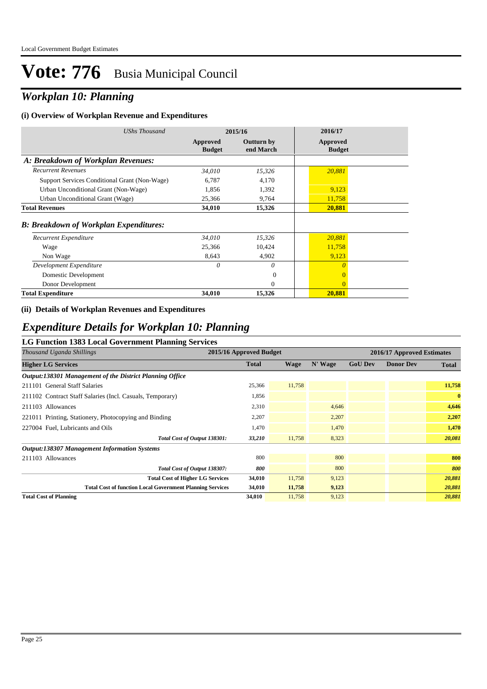## *Workplan 10: Planning*

#### **(i) Overview of Workplan Revenue and Expenditures**

| <b>UShs Thousand</b>                          | 2015/16                   |                                | 2016/17                   |  |  |
|-----------------------------------------------|---------------------------|--------------------------------|---------------------------|--|--|
|                                               | Approved<br><b>Budget</b> | <b>Outturn by</b><br>end March | Approved<br><b>Budget</b> |  |  |
| A: Breakdown of Workplan Revenues:            |                           |                                |                           |  |  |
| <b>Recurrent Revenues</b>                     | 34,010                    | 15,326                         | 20,881                    |  |  |
| Support Services Conditional Grant (Non-Wage) | 6,787                     | 4,170                          |                           |  |  |
| Urban Unconditional Grant (Non-Wage)          | 1,856                     | 1,392                          | 9,123                     |  |  |
| Urban Unconditional Grant (Wage)              | 25,366                    | 9,764                          | 11,758                    |  |  |
| <b>Total Revenues</b>                         | 34,010                    | 15,326                         | 20,881                    |  |  |
| <b>B: Breakdown of Workplan Expenditures:</b> |                           |                                |                           |  |  |
| Recurrent Expenditure                         | 34,010                    | 15,326                         | 20,881                    |  |  |
| Wage                                          | 25,366                    | 10,424                         | 11,758                    |  |  |
| Non Wage                                      | 8,643                     | 4,902                          | 9,123                     |  |  |
| Development Expenditure                       | 0                         | $\theta$                       | $\theta$                  |  |  |
| Domestic Development                          |                           | $\overline{0}$                 | $\overline{0}$            |  |  |
| Donor Development                             |                           | $\theta$                       | $\Omega$                  |  |  |
| <b>Total Expenditure</b>                      | 34,010                    | 15,326                         | 20,881                    |  |  |

#### **(ii) Details of Workplan Revenues and Expenditures**

### *Expenditure Details for Workplan 10: Planning*

### **LG Function 1383 Local Government Planning Services**

| $\sigma$ I anchon 1000 Docal $\sigma$ 00 change in annihing below<br>Thousand Uganda Shillings | 2015/16 Approved Budget | 2016/17 Approved Estimates |         |                |                  |          |
|------------------------------------------------------------------------------------------------|-------------------------|----------------------------|---------|----------------|------------------|----------|
| <b>Higher LG Services</b>                                                                      | <b>Total</b>            | Wage                       | N' Wage | <b>GoU Dev</b> | <b>Donor Dev</b> | Total    |
| Output:138301 Management of the District Planning Office                                       |                         |                            |         |                |                  |          |
| 211101 General Staff Salaries                                                                  | 25,366                  | 11,758                     |         |                |                  | 11,758   |
| 211102 Contract Staff Salaries (Incl. Casuals, Temporary)                                      | 1,856                   |                            |         |                |                  | $\bf{0}$ |
| 211103 Allowances                                                                              | 2,310                   |                            | 4,646   |                |                  | 4,646    |
| 221011 Printing, Stationery, Photocopying and Binding                                          | 2,207                   |                            | 2,207   |                |                  | 2,207    |
| 227004 Fuel, Lubricants and Oils                                                               | 1,470                   |                            | 1,470   |                |                  | 1,470    |
| Total Cost of Output 138301:                                                                   | 33,210                  | 11,758                     | 8,323   |                |                  | 20,081   |
| <b>Output:138307 Management Information Systems</b>                                            |                         |                            |         |                |                  |          |
| 211103 Allowances                                                                              | 800                     |                            | 800     |                |                  | 800      |
| Total Cost of Output 138307:                                                                   | 800                     |                            | 800     |                |                  | 800      |
| <b>Total Cost of Higher LG Services</b>                                                        | 34,010                  | 11,758                     | 9,123   |                |                  | 20,881   |
| <b>Total Cost of function Local Government Planning Services</b>                               | 34,010                  | 11,758                     | 9,123   |                |                  | 20,881   |
| <b>Total Cost of Planning</b>                                                                  | 34,010                  | 11,758                     | 9,123   |                |                  | 20,881   |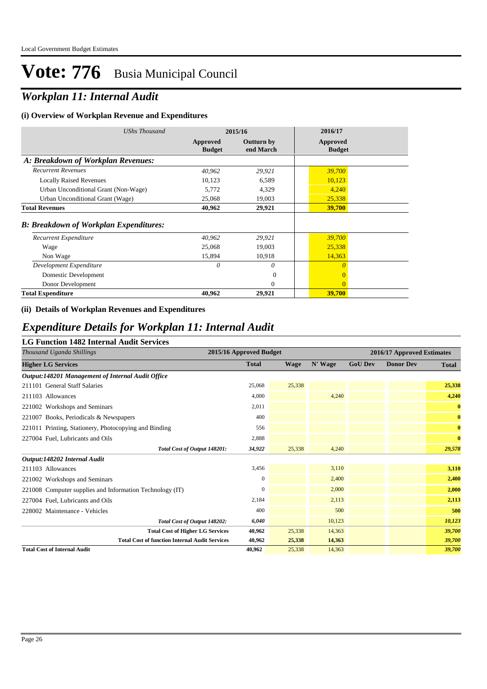## *Workplan 11: Internal Audit*

#### **(i) Overview of Workplan Revenue and Expenditures**

| <b>UShs Thousand</b>                          | 2015/16                   |                                | 2016/17                   |
|-----------------------------------------------|---------------------------|--------------------------------|---------------------------|
|                                               | Approved<br><b>Budget</b> | <b>Outturn by</b><br>end March | Approved<br><b>Budget</b> |
| A: Breakdown of Workplan Revenues:            |                           |                                |                           |
| <b>Recurrent Revenues</b>                     | 40,962                    | 29,921                         | 39,700                    |
| <b>Locally Raised Revenues</b>                | 10,123                    | 6,589                          | 10,123                    |
| Urban Unconditional Grant (Non-Wage)          | 5,772                     | 4,329                          | 4,240                     |
| Urban Unconditional Grant (Wage)              | 25,068                    | 19,003                         | 25,338                    |
| <b>Total Revenues</b>                         | 40,962                    | 29,921                         | 39,700                    |
| <b>B: Breakdown of Workplan Expenditures:</b> |                           |                                |                           |
| Recurrent Expenditure                         | 40,962                    | 29,921                         | 39,700                    |
| Wage                                          | 25,068                    | 19,003                         | 25,338                    |
| Non Wage                                      | 15,894                    | 10,918                         | 14,363                    |
| Development Expenditure                       | 0                         | 0                              | $\theta$                  |
| Domestic Development                          |                           | $\theta$                       | $\overline{0}$            |
| Donor Development                             |                           | $\Omega$                       | $\Omega$                  |
| <b>Total Expenditure</b>                      | 40,962                    | 29,921                         | <b>39,700</b>             |

#### **(ii) Details of Workplan Revenues and Expenditures**

### *Expenditure Details for Workplan 11: Internal Audit*

#### **LG Function 1482 Internal Audit Services**

| Thousand Uganda Shillings                                | 2015/16 Approved Budget |             |         | 2016/17 Approved Estimates |                  |              |  |
|----------------------------------------------------------|-------------------------|-------------|---------|----------------------------|------------------|--------------|--|
| <b>Higher LG Services</b>                                | <b>Total</b>            | <b>Wage</b> | N' Wage | <b>GoU Dev</b>             | <b>Donor Dev</b> | <b>Total</b> |  |
| Output:148201 Management of Internal Audit Office        |                         |             |         |                            |                  |              |  |
| 211101 General Staff Salaries                            | 25,068                  | 25,338      |         |                            |                  | 25,338       |  |
| 211103 Allowances                                        | 4,000                   |             | 4,240   |                            |                  | 4,240        |  |
| 221002 Workshops and Seminars                            | 2,011                   |             |         |                            |                  | $\bf{0}$     |  |
| 221007 Books, Periodicals & Newspapers                   | 400                     |             |         |                            |                  | $\bf{0}$     |  |
| 221011 Printing, Stationery, Photocopying and Binding    | 556                     |             |         |                            |                  | $\bf{0}$     |  |
| 227004 Fuel, Lubricants and Oils                         | 2,888                   |             |         |                            |                  | $\bf{0}$     |  |
| Total Cost of Output 148201:                             | 34,922                  | 25,338      | 4,240   |                            |                  | 29,578       |  |
| Output:148202 Internal Audit                             |                         |             |         |                            |                  |              |  |
| 211103 Allowances                                        | 3,456                   |             | 3,110   |                            |                  | 3,110        |  |
| 221002 Workshops and Seminars                            | 0                       |             | 2,400   |                            |                  | 2,400        |  |
| 221008 Computer supplies and Information Technology (IT) | 0                       |             | 2,000   |                            |                  | 2,000        |  |
| 227004 Fuel, Lubricants and Oils                         | 2,184                   |             | 2,113   |                            |                  | 2,113        |  |
| 228002 Maintenance - Vehicles                            | 400                     |             | 500     |                            |                  | 500          |  |
| Total Cost of Output 148202:                             | 6,040                   |             | 10,123  |                            |                  | 10,123       |  |
| <b>Total Cost of Higher LG Services</b>                  | 40,962                  | 25,338      | 14,363  |                            |                  | 39,700       |  |
| <b>Total Cost of function Internal Audit Services</b>    | 40,962                  | 25,338      | 14,363  |                            |                  | 39,700       |  |
| <b>Total Cost of Internal Audit</b>                      | 40.962                  | 25,338      | 14,363  |                            |                  | 39,700       |  |